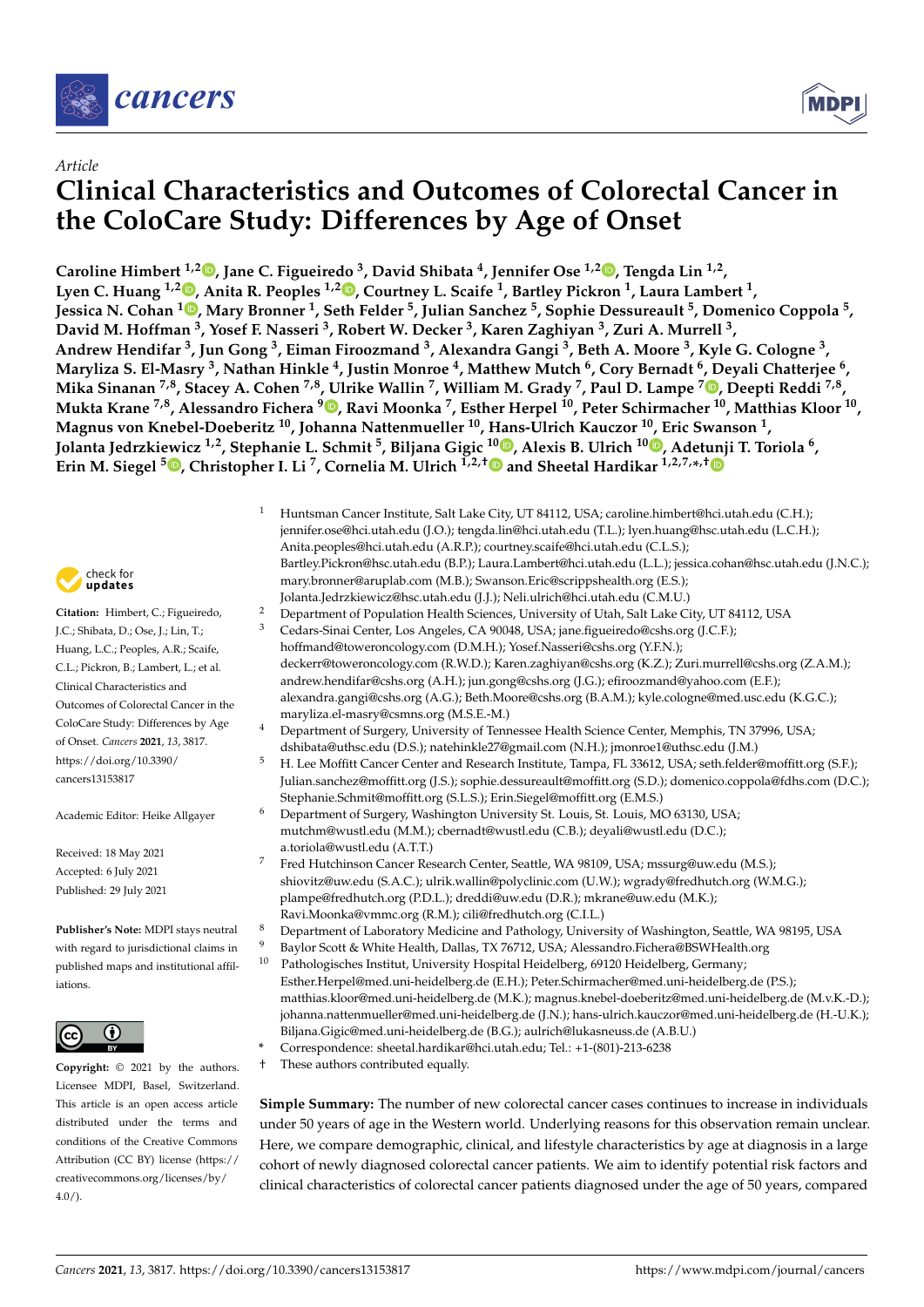

*Article*



# **Clinical Characteristics and Outcomes of Colorectal Cancer in the ColoCare Study: Differences by Age of Onset**

**Caroline Himbert 1,2 [,](https://orcid.org/0000-0003-4084-8340) Jane C. Figueiredo <sup>3</sup> , David Shibata <sup>4</sup> , Jennifer Ose 1,2 [,](https://orcid.org/0000-0002-2030-9676) Tengda Lin 1,2 , Lyen C. Huang 1,2 [,](https://orcid.org/0000-0002-8605-2631) Anita R. Peoples 1,2 [,](https://orcid.org/0000-0003-3645-3960) Courtney L. Scaife <sup>1</sup> , Bartley Pickron <sup>1</sup> , Laura Lambert <sup>1</sup> , Jessica N. Cohan <sup>1</sup> [,](https://orcid.org/0000-0002-5461-4716) Mary Bronner <sup>1</sup> , Seth Felder <sup>5</sup> , Julian Sanchez <sup>5</sup> , Sophie Dessureault <sup>5</sup> , Domenico Coppola <sup>5</sup> , David M. Hoffman <sup>3</sup> , Yosef F. Nasseri <sup>3</sup> , Robert W. Decker <sup>3</sup> , Karen Zaghiyan <sup>3</sup> , Zuri A. Murrell <sup>3</sup> , Andrew Hendifar <sup>3</sup> , Jun Gong <sup>3</sup> , Eiman Firoozmand <sup>3</sup> , Alexandra Gangi <sup>3</sup> , Beth A. Moore <sup>3</sup> , Kyle G. Cologne <sup>3</sup> , Maryliza S. El-Masry <sup>3</sup> , Nathan Hinkle <sup>4</sup> , Justin Monroe <sup>4</sup> , Matthew Mutch <sup>6</sup> , Cory Bernadt <sup>6</sup> , Deyali Chatterjee <sup>6</sup> , Mika Sinanan 7,8, Stacey A. Cohen 7,8, Ulrike Wallin <sup>7</sup> , William M. Grady <sup>7</sup> , Paul D. Lampe <sup>7</sup> [,](https://orcid.org/0000-0002-1399-2761) Deepti Reddi 7,8 , Mukta Krane 7,8, Alessandro Fichera <sup>9</sup> [,](https://orcid.org/0000-0003-4205-4413) Ravi Moonka <sup>7</sup> , Esther Herpel <sup>10</sup>, Peter Schirmacher <sup>10</sup>, Matthias Kloor <sup>10</sup> , Magnus von Knebel-Doeberitz <sup>10</sup>, Johanna Nattenmueller <sup>10</sup>, Hans-Ulrich Kauczor <sup>10</sup>, Eric Swanson <sup>1</sup> , Jolanta Jedrzkiewicz 1,2, Stephanie L. Schmit <sup>5</sup> , Biljana Gigic <sup>10</sup> [,](https://orcid.org/0000-0002-8085-2072) Alexis B. Ulrich <sup>10</sup> [,](https://orcid.org/0000-0003-1469-2186) Adet[unj](https://orcid.org/0000-0003-0292-6168)i T. Toriola <sup>6</sup> , Erin M. Siegel <sup>5</sup> [,](https://orcid.org/0000-0003-1779-2510) Christopher I. Li <sup>7</sup> , Cornelia M. Ulrich 1,2,[†](https://orcid.org/0000-0001-7641-059X) and Sheetal Hardikar 1,2,7,\* ,†**



**Citation:** Himbert, C.; Figueiredo, J.C.; Shibata, D.; Ose, J.; Lin, T.; Huang, L.C.; Peoples, A.R.; Scaife, C.L.; Pickron, B.; Lambert, L.; et al. Clinical Characteristics and Outcomes of Colorectal Cancer in the ColoCare Study: Differences by Age of Onset. *Cancers* **2021**, *13*, 3817. [https://doi.org/10.3390/](https://doi.org/10.3390/cancers13153817) [cancers13153817](https://doi.org/10.3390/cancers13153817)

Academic Editor: Heike Allgayer

Received: 18 May 2021 Accepted: 6 July 2021 Published: 29 July 2021

**Publisher's Note:** MDPI stays neutral with regard to jurisdictional claims in published maps and institutional affiliations.



**Copyright:** © 2021 by the authors. Licensee MDPI, Basel, Switzerland. This article is an open access article distributed under the terms and conditions of the Creative Commons Attribution (CC BY) license (https:/[/](https://creativecommons.org/licenses/by/4.0/) [creativecommons.org/licenses/by/](https://creativecommons.org/licenses/by/4.0/)  $4.0/$ ).

| $\mathbf{1}$   | Huntsman Cancer Institute, Salt Lake City, UT 84112, USA; caroline.himbert@hci.utah.edu (C.H.);              |
|----------------|--------------------------------------------------------------------------------------------------------------|
|                | jennifer.ose@hci.utah.edu (J.O.); tengda.lin@hci.utah.edu (T.L.); lyen.huang@hsc.utah.edu (L.C.H.);          |
|                | Anita.peoples@hci.utah.edu (A.R.P.); courtney.scaife@hci.utah.edu (C.L.S.);                                  |
|                | Bartley.Pickron@hsc.utah.edu (B.P.); Laura.Lambert@hci.utah.edu (L.L.); jessica.cohan@hsc.utah.edu (J.N.C.); |
|                | mary.bronner@aruplab.com (M.B.); Swanson.Eric@scrippshealth.org (E.S.);                                      |
|                | Jolanta.Jedrzkiewicz@hsc.utah.edu (J.J.); Neli.ulrich@hci.utah.edu (C.M.U.)                                  |
| $\overline{2}$ | Department of Population Health Sciences, University of Utah, Salt Lake City, UT 84112, USA                  |
| 3              | Cedars-Sinai Center, Los Angeles, CA 90048, USA; jane.figueiredo@cshs.org (J.C.F.);                          |
|                | hoffmand@toweroncology.com (D.M.H.); Yosef.Nasseri@cshs.org (Y.F.N.);                                        |
|                | deckerr@toweroncology.com (R.W.D.); Karen.zaghiyan@cshs.org (K.Z.); Zuri.murrell@cshs.org (Z.A.M.);          |
|                | andrew.hendifar@cshs.org (A.H.); jun.gong@cshs.org (J.G.); efiroozmand@yahoo.com (E.F.);                     |
|                | alexandra.gangi@cshs.org (A.G.); Beth.Moore@cshs.org (B.A.M.); kyle.cologne@med.usc.edu (K.G.C.);            |
|                | maryliza.el-masry@csmns.org (M.S.E.-M.)                                                                      |
| $\overline{4}$ | Department of Surgery, University of Tennessee Health Science Center, Memphis, TN 37996, USA;                |
|                | dshibata@uthsc.edu (D.S.); natehinkle27@gmail.com (N.H.); jmonroe1@uthsc.edu (J.M.)                          |
| 5              | H. Lee Moffitt Cancer Center and Research Institute, Tampa, FL 33612, USA; seth.felder@moffitt.org (S.F.);   |
|                | Julian.sanchez@moffitt.org (J.S.); sophie.dessureault@moffitt.org (S.D.); domenico.coppola@fdhs.com (D.C.);  |
|                | Stephanie.Schmit@moffitt.org (S.L.S.); Erin.Siegel@moffitt.org (E.M.S.)                                      |
| 6              | Department of Surgery, Washington University St. Louis, St. Louis, MO 63130, USA;                            |
|                | mutchm@wustl.edu (M.M.); cbernadt@wustl.edu (C.B.); deyali@wustl.edu (D.C.);                                 |
|                | a.toriola@wustl.edu (A.T.T.)                                                                                 |
| 7              | Fred Hutchinson Cancer Research Center, Seattle, WA 98109, USA; mssurg@uw.edu (M.S.);                        |
|                | shiovitz@uw.edu (S.A.C.); ulrik.wallin@polyclinic.com (U.W.); wgrady@fredhutch.org (W.M.G.);                 |
|                | plampe@fredhutch.org (P.D.L.); dreddi@uw.edu (D.R.); mkrane@uw.edu (M.K.);                                   |
|                | Ravi.Moonka@vmmc.org (R.M.); cili@fredhutch.org (C.I.L.)                                                     |
| 8              | Department of Laboratory Medicine and Pathology, University of Washington, Seattle, WA 98195, USA            |

- 
- Baylor Scott & White Health, Dallas, TX 76712, USA; Alessandro.Fichera@BSWHealth.org
- Pathologisches Institut, University Hospital Heidelberg, 69120 Heidelberg, Germany; Esther.Herpel@med.uni-heidelberg.de (E.H.); Peter.Schirmacher@med.uni-heidelberg.de (P.S.); matthias.kloor@med.uni-heidelberg.de (M.K.); magnus.knebel-doeberitz@med.uni-heidelberg.de (M.v.K.-D.); johanna.nattenmueller@med.uni-heidelberg.de (J.N.); hans-ulrich.kauczor@med.uni-heidelberg.de (H.-U.K.); Biljana.Gigic@med.uni-heidelberg.de (B.G.); aulrich@lukasneuss.de (A.B.U.)
- **\*** Correspondence: sheetal.hardikar@hci.utah.edu; Tel.: +1-(801)-213-6238
- † These authors contributed equally.

**Simple Summary:** The number of new colorectal cancer cases continues to increase in individuals under 50 years of age in the Western world. Underlying reasons for this observation remain unclear. Here, we compare demographic, clinical, and lifestyle characteristics by age at diagnosis in a large cohort of newly diagnosed colorectal cancer patients. We aim to identify potential risk factors and clinical characteristics of colorectal cancer patients diagnosed under the age of 50 years, compared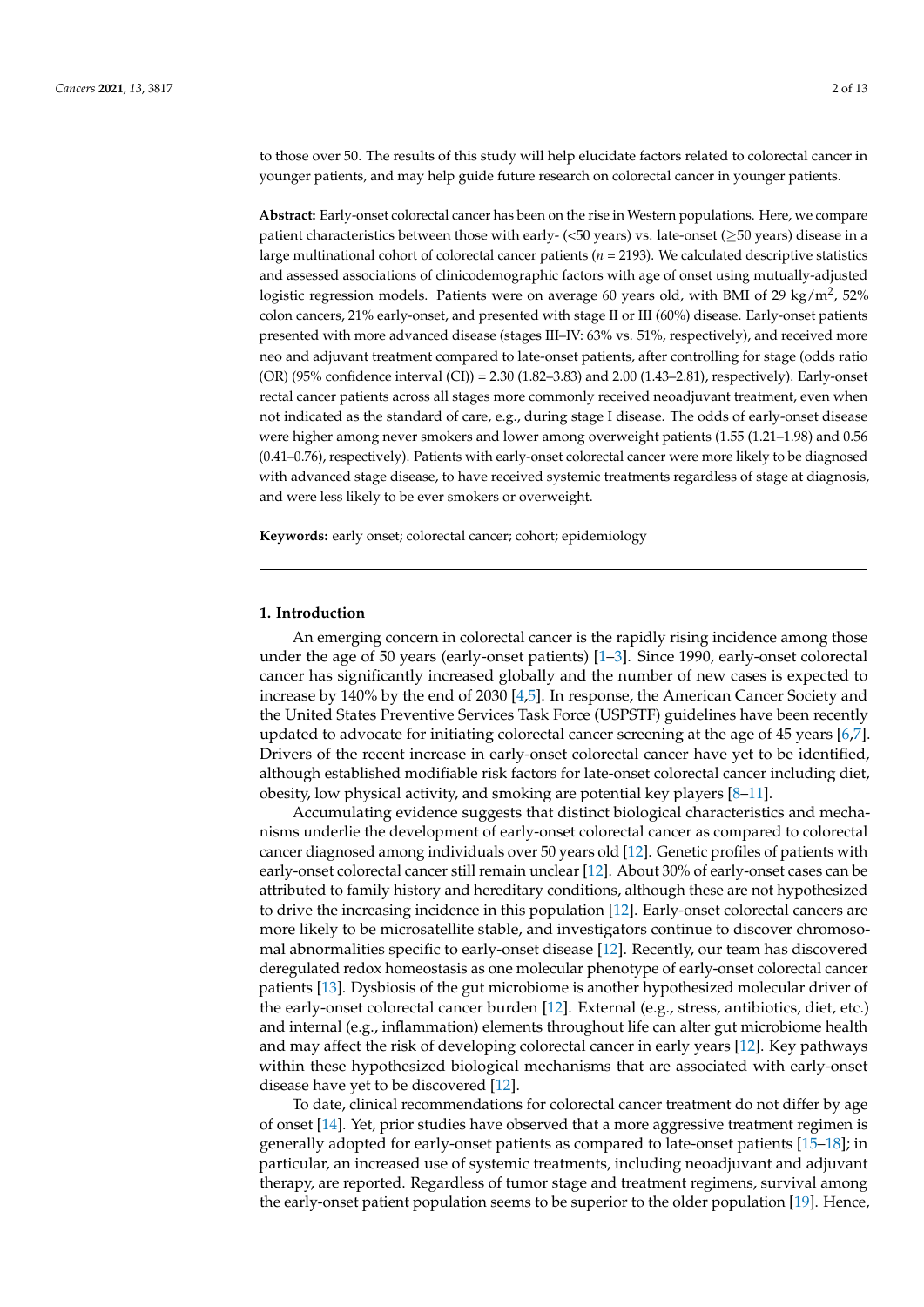to those over 50. The results of this study will help elucidate factors related to colorectal cancer in younger patients, and may help guide future research on colorectal cancer in younger patients.

**Abstract:** Early-onset colorectal cancer has been on the rise in Western populations. Here, we compare patient characteristics between those with early- (<50 years) vs. late-onset ( $\geq$ 50 years) disease in a large multinational cohort of colorectal cancer patients (*n* = 2193). We calculated descriptive statistics and assessed associations of clinicodemographic factors with age of onset using mutually-adjusted logistic regression models. Patients were on average 60 years old, with BMI of 29 kg/m<sup>2</sup>, 52% colon cancers, 21% early-onset, and presented with stage II or III (60%) disease. Early-onset patients presented with more advanced disease (stages III–IV: 63% vs. 51%, respectively), and received more neo and adjuvant treatment compared to late-onset patients, after controlling for stage (odds ratio (OR) (95% confidence interval (CI)) = 2.30 (1.82–3.83) and 2.00 (1.43–2.81), respectively). Early-onset rectal cancer patients across all stages more commonly received neoadjuvant treatment, even when not indicated as the standard of care, e.g., during stage I disease. The odds of early-onset disease were higher among never smokers and lower among overweight patients (1.55 (1.21–1.98) and 0.56 (0.41–0.76), respectively). Patients with early-onset colorectal cancer were more likely to be diagnosed with advanced stage disease, to have received systemic treatments regardless of stage at diagnosis, and were less likely to be ever smokers or overweight.

**Keywords:** early onset; colorectal cancer; cohort; epidemiology

#### **1. Introduction**

An emerging concern in colorectal cancer is the rapidly rising incidence among those under the age of 50 years (early-onset patients) [\[1](#page-11-0)[–3\]](#page-11-1). Since 1990, early-onset colorectal cancer has significantly increased globally and the number of new cases is expected to increase by 140% by the end of 2030 [\[4](#page-11-2)[,5\]](#page-11-3). In response, the American Cancer Society and the United States Preventive Services Task Force (USPSTF) guidelines have been recently updated to advocate for initiating colorectal cancer screening at the age of 45 years [\[6,](#page-11-4)[7\]](#page-11-5). Drivers of the recent increase in early-onset colorectal cancer have yet to be identified, although established modifiable risk factors for late-onset colorectal cancer including diet, obesity, low physical activity, and smoking are potential key players [\[8](#page-11-6)[–11\]](#page-11-7).

Accumulating evidence suggests that distinct biological characteristics and mechanisms underlie the development of early-onset colorectal cancer as compared to colorectal cancer diagnosed among individuals over 50 years old [\[12\]](#page-11-8). Genetic profiles of patients with early-onset colorectal cancer still remain unclear [\[12\]](#page-11-8). About 30% of early-onset cases can be attributed to family history and hereditary conditions, although these are not hypothesized to drive the increasing incidence in this population [\[12\]](#page-11-8). Early-onset colorectal cancers are more likely to be microsatellite stable, and investigators continue to discover chromosomal abnormalities specific to early-onset disease [\[12\]](#page-11-8). Recently, our team has discovered deregulated redox homeostasis as one molecular phenotype of early-onset colorectal cancer patients [\[13\]](#page-11-9). Dysbiosis of the gut microbiome is another hypothesized molecular driver of the early-onset colorectal cancer burden [\[12\]](#page-11-8). External (e.g., stress, antibiotics, diet, etc.) and internal (e.g., inflammation) elements throughout life can alter gut microbiome health and may affect the risk of developing colorectal cancer in early years [\[12\]](#page-11-8). Key pathways within these hypothesized biological mechanisms that are associated with early-onset disease have yet to be discovered [\[12\]](#page-11-8).

To date, clinical recommendations for colorectal cancer treatment do not differ by age of onset [\[14\]](#page-11-10). Yet, prior studies have observed that a more aggressive treatment regimen is generally adopted for early-onset patients as compared to late-onset patients [\[15–](#page-11-11)[18\]](#page-11-12); in particular, an increased use of systemic treatments, including neoadjuvant and adjuvant therapy, are reported. Regardless of tumor stage and treatment regimens, survival among the early-onset patient population seems to be superior to the older population [\[19\]](#page-11-13). Hence,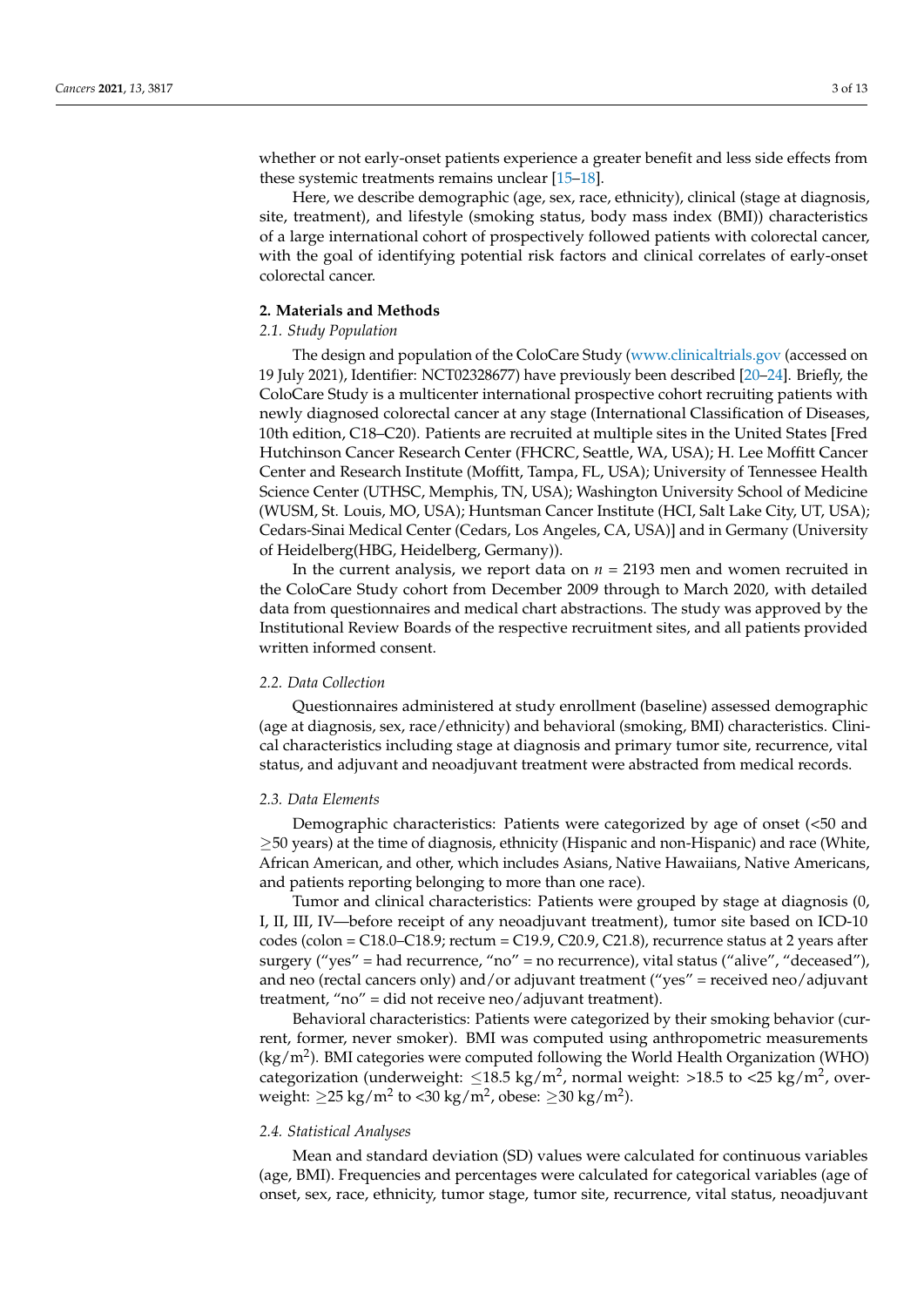whether or not early-onset patients experience a greater benefit and less side effects from these systemic treatments remains unclear [\[15–](#page-11-11)[18\]](#page-11-12).

Here, we describe demographic (age, sex, race, ethnicity), clinical (stage at diagnosis, site, treatment), and lifestyle (smoking status, body mass index (BMI)) characteristics of a large international cohort of prospectively followed patients with colorectal cancer, with the goal of identifying potential risk factors and clinical correlates of early-onset colorectal cancer.

# **2. Materials and Methods**

# *2.1. Study Population*

The design and population of the ColoCare Study [\(www.clinicaltrials.gov](www.clinicaltrials.gov) (accessed on 19 July 2021), Identifier: NCT02328677) have previously been described [\[20–](#page-11-14)[24\]](#page-12-0). Briefly, the ColoCare Study is a multicenter international prospective cohort recruiting patients with newly diagnosed colorectal cancer at any stage (International Classification of Diseases, 10th edition, C18–C20). Patients are recruited at multiple sites in the United States [Fred Hutchinson Cancer Research Center (FHCRC, Seattle, WA, USA); H. Lee Moffitt Cancer Center and Research Institute (Moffitt, Tampa, FL, USA); University of Tennessee Health Science Center (UTHSC, Memphis, TN, USA); Washington University School of Medicine (WUSM, St. Louis, MO, USA); Huntsman Cancer Institute (HCI, Salt Lake City, UT, USA); Cedars-Sinai Medical Center (Cedars, Los Angeles, CA, USA)] and in Germany (University of Heidelberg(HBG, Heidelberg, Germany)).

In the current analysis, we report data on  $n = 2193$  men and women recruited in the ColoCare Study cohort from December 2009 through to March 2020, with detailed data from questionnaires and medical chart abstractions. The study was approved by the Institutional Review Boards of the respective recruitment sites, and all patients provided written informed consent.

#### *2.2. Data Collection*

Questionnaires administered at study enrollment (baseline) assessed demographic (age at diagnosis, sex, race/ethnicity) and behavioral (smoking, BMI) characteristics. Clinical characteristics including stage at diagnosis and primary tumor site, recurrence, vital status, and adjuvant and neoadjuvant treatment were abstracted from medical records.

#### *2.3. Data Elements*

Demographic characteristics: Patients were categorized by age of onset (<50 and ≥50 years) at the time of diagnosis, ethnicity (Hispanic and non-Hispanic) and race (White, African American, and other, which includes Asians, Native Hawaiians, Native Americans, and patients reporting belonging to more than one race).

Tumor and clinical characteristics: Patients were grouped by stage at diagnosis (0, I, II, III, IV—before receipt of any neoadjuvant treatment), tumor site based on ICD-10 codes (colon = C18.0–C18.9; rectum = C19.9, C20.9, C21.8), recurrence status at 2 years after surgery ("yes" = had recurrence, "no" = no recurrence), vital status ("alive", "deceased"), and neo (rectal cancers only) and/or adjuvant treatment ("yes" = received neo/adjuvant treatment, "no" = did not receive neo/adjuvant treatment).

Behavioral characteristics: Patients were categorized by their smoking behavior (current, former, never smoker). BMI was computed using anthropometric measurements  $\frac{1}{\text{kg/m}^2}$ ). BMI categories were computed following the World Health Organization (WHO) categorization (underweight:  $\leq$ 18.5 kg/m<sup>2</sup>, normal weight: >18.5 to <25 kg/m<sup>2</sup>, overweight:  $\geq$ 25 kg/m $^2$  to <30 kg/m $^2$ , obese:  $\geq$ 30 kg/m $^2$ ).

## *2.4. Statistical Analyses*

Mean and standard deviation (SD) values were calculated for continuous variables (age, BMI). Frequencies and percentages were calculated for categorical variables (age of onset, sex, race, ethnicity, tumor stage, tumor site, recurrence, vital status, neoadjuvant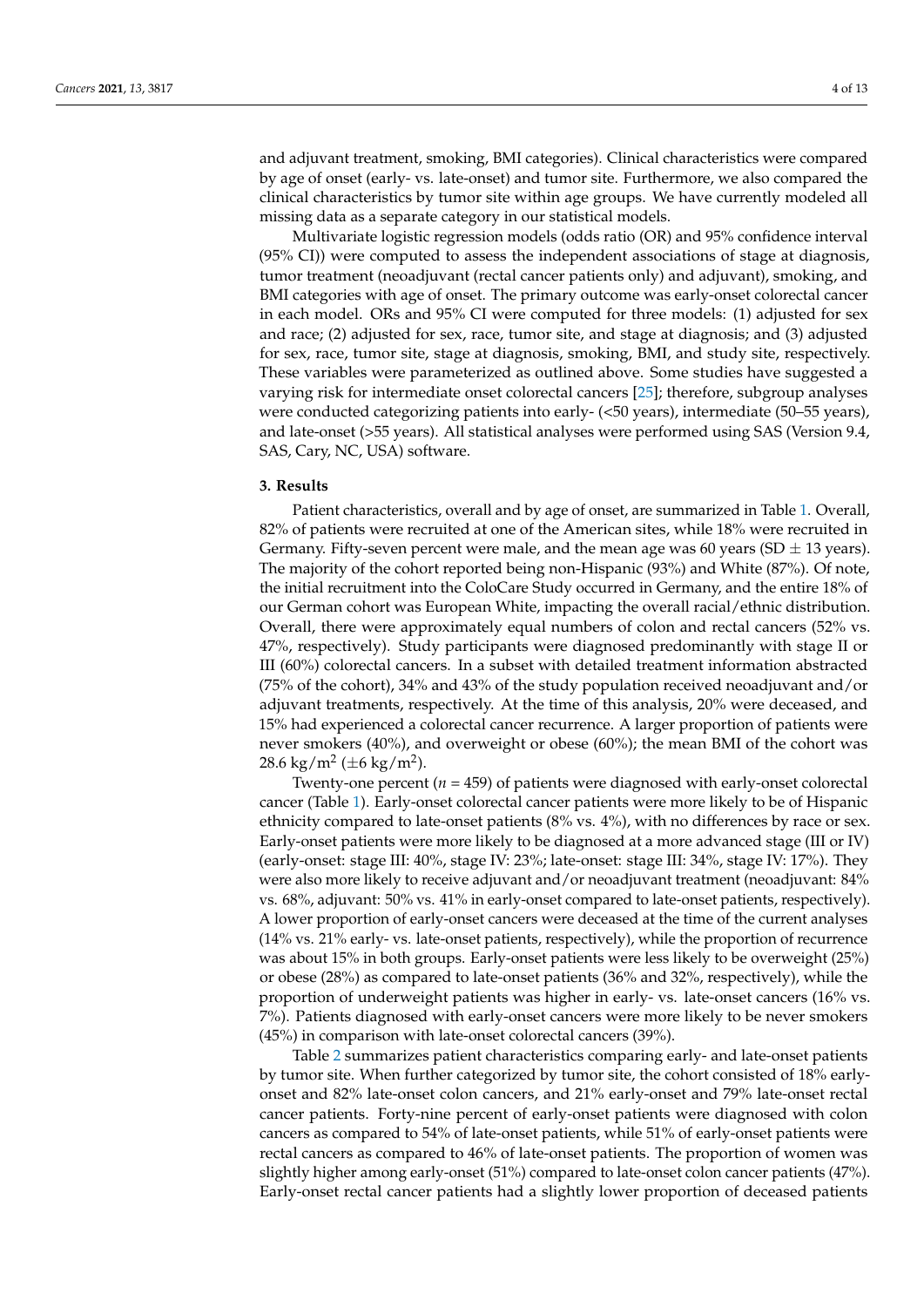and adjuvant treatment, smoking, BMI categories). Clinical characteristics were compared by age of onset (early- vs. late-onset) and tumor site. Furthermore, we also compared the clinical characteristics by tumor site within age groups. We have currently modeled all missing data as a separate category in our statistical models.

Multivariate logistic regression models (odds ratio (OR) and 95% confidence interval (95% CI)) were computed to assess the independent associations of stage at diagnosis, tumor treatment (neoadjuvant (rectal cancer patients only) and adjuvant), smoking, and BMI categories with age of onset. The primary outcome was early-onset colorectal cancer in each model. ORs and 95% CI were computed for three models: (1) adjusted for sex and race; (2) adjusted for sex, race, tumor site, and stage at diagnosis; and (3) adjusted for sex, race, tumor site, stage at diagnosis, smoking, BMI, and study site, respectively. These variables were parameterized as outlined above. Some studies have suggested a varying risk for intermediate onset colorectal cancers [\[25\]](#page-12-1); therefore, subgroup analyses were conducted categorizing patients into early- (<50 years), intermediate (50–55 years), and late-onset (>55 years). All statistical analyses were performed using SAS (Version 9.4, SAS, Cary, NC, USA) software.

### **3. Results**

Patient characteristics, overall and by age of onset, are summarized in Table [1.](#page-4-0) Overall, 82% of patients were recruited at one of the American sites, while 18% were recruited in Germany. Fifty-seven percent were male, and the mean age was 60 years (SD  $\pm$  13 years). The majority of the cohort reported being non-Hispanic (93%) and White (87%). Of note, the initial recruitment into the ColoCare Study occurred in Germany, and the entire 18% of our German cohort was European White, impacting the overall racial/ethnic distribution. Overall, there were approximately equal numbers of colon and rectal cancers (52% vs. 47%, respectively). Study participants were diagnosed predominantly with stage II or III (60%) colorectal cancers. In a subset with detailed treatment information abstracted (75% of the cohort), 34% and 43% of the study population received neoadjuvant and/or adjuvant treatments, respectively. At the time of this analysis, 20% were deceased, and 15% had experienced a colorectal cancer recurrence. A larger proportion of patients were never smokers (40%), and overweight or obese (60%); the mean BMI of the cohort was  $28.6 \text{ kg/m}^2 \ (\pm 6 \text{ kg/m}^2).$ 

Twenty-one percent (*n* = 459) of patients were diagnosed with early-onset colorectal cancer (Table [1\)](#page-4-0). Early-onset colorectal cancer patients were more likely to be of Hispanic ethnicity compared to late-onset patients (8% vs. 4%), with no differences by race or sex. Early-onset patients were more likely to be diagnosed at a more advanced stage (III or IV) (early-onset: stage III: 40%, stage IV: 23%; late-onset: stage III: 34%, stage IV: 17%). They were also more likely to receive adjuvant and/or neoadjuvant treatment (neoadjuvant: 84% vs. 68%, adjuvant: 50% vs. 41% in early-onset compared to late-onset patients, respectively). A lower proportion of early-onset cancers were deceased at the time of the current analyses (14% vs. 21% early- vs. late-onset patients, respectively), while the proportion of recurrence was about 15% in both groups. Early-onset patients were less likely to be overweight (25%) or obese (28%) as compared to late-onset patients (36% and 32%, respectively), while the proportion of underweight patients was higher in early- vs. late-onset cancers (16% vs. 7%). Patients diagnosed with early-onset cancers were more likely to be never smokers (45%) in comparison with late-onset colorectal cancers (39%).

Table [2](#page-5-0) summarizes patient characteristics comparing early- and late-onset patients by tumor site. When further categorized by tumor site, the cohort consisted of 18% earlyonset and 82% late-onset colon cancers, and 21% early-onset and 79% late-onset rectal cancer patients. Forty-nine percent of early-onset patients were diagnosed with colon cancers as compared to 54% of late-onset patients, while 51% of early-onset patients were rectal cancers as compared to 46% of late-onset patients. The proportion of women was slightly higher among early-onset (51%) compared to late-onset colon cancer patients (47%). Early-onset rectal cancer patients had a slightly lower proportion of deceased patients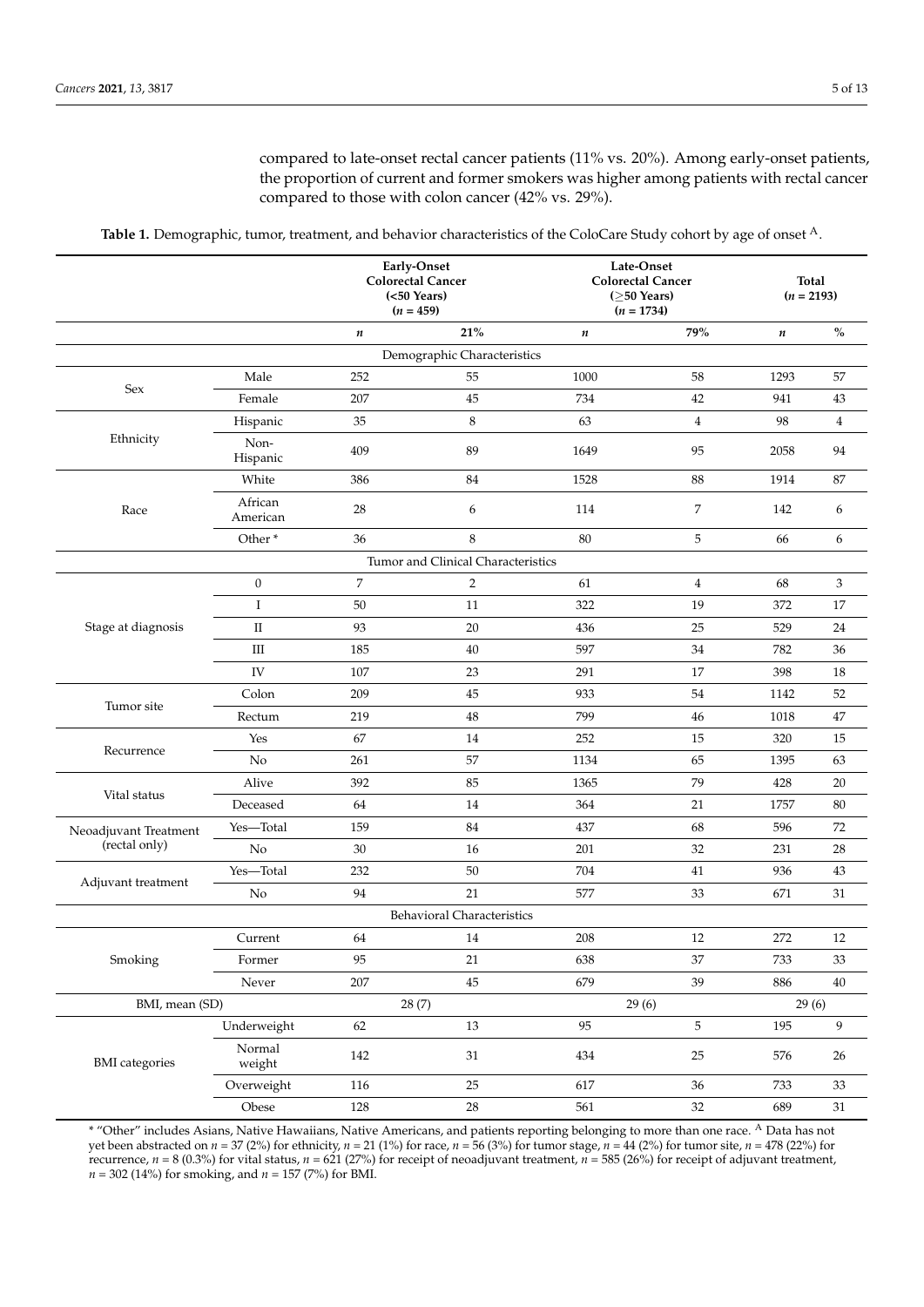compared to late-onset rectal cancer patients (11% vs. 20%). Among early-onset patients, the proportion of current and former smokers was higher among patients with rectal cancer compared to those with colon cancer (42% vs. 29%).

<span id="page-4-0"></span>

|                          |                     | Early-Onset<br><b>Colorectal Cancer</b><br>( <b>50</b> Years)<br>$(n = 459)$ |                                    | Late-Onset<br><b>Colorectal Cancer</b><br>$($ >50 Years $)$<br>$(n = 1734)$ |                | <b>Total</b><br>$(n = 2193)$ |                |
|--------------------------|---------------------|------------------------------------------------------------------------------|------------------------------------|-----------------------------------------------------------------------------|----------------|------------------------------|----------------|
|                          |                     | $\pmb{n}$                                                                    | 21%                                | $\boldsymbol{n}$                                                            | 79%            | $\pmb{n}$                    | $\%$           |
|                          |                     |                                                                              | Demographic Characteristics        |                                                                             |                |                              |                |
|                          | Male                | 252                                                                          | 55                                 | 1000                                                                        | 58             | 1293                         | 57             |
| Sex                      | Female              | 207                                                                          | 45                                 | 734                                                                         | 42             | 941                          | 43             |
|                          | Hispanic            | 35                                                                           | 8                                  | 63                                                                          | $\overline{4}$ | 98                           | $\overline{4}$ |
| Ethnicity                | Non-<br>Hispanic    | 409                                                                          | 89                                 | 1649                                                                        | 95             | 2058                         | 94             |
|                          | White               | 386                                                                          | 84                                 | 1528                                                                        | 88             | 1914                         | 87             |
| Race                     | African<br>American | 28                                                                           | 6                                  | 114                                                                         | 7              | 142                          | 6              |
|                          | Other <sup>*</sup>  | 36                                                                           | 8                                  | 80                                                                          | 5              | 66                           | 6              |
|                          |                     |                                                                              | Tumor and Clinical Characteristics |                                                                             |                |                              |                |
|                          | $\boldsymbol{0}$    | 7                                                                            | $\overline{2}$                     | 61                                                                          | $\overline{4}$ | 68                           | 3              |
| Stage at diagnosis       | $\rm I$             | 50                                                                           | $11\,$                             | 322                                                                         | 19             | 372                          | 17             |
|                          | $\rm II$            | 93                                                                           | $20\,$                             | 436                                                                         | 25             | 529                          | 24             |
|                          | $\rm III$           | 185                                                                          | 40                                 | 597                                                                         | 34             | 782                          | 36             |
|                          | IV                  | 107                                                                          | 23                                 | 291                                                                         | 17             | 398                          | 18             |
|                          | Colon               | 209                                                                          | 45                                 | 933                                                                         | 54             | 1142                         | 52             |
|                          | Rectum              | 219                                                                          | $\rm 48$                           | 799                                                                         | 46             | 1018                         | 47             |
|                          | Yes                 | 67                                                                           | 14                                 | 252                                                                         | 15             | 320                          | 15             |
| Tumor site<br>Recurrence | No                  | 261                                                                          | 57                                 | 1134                                                                        | 65             | 1395                         | 63             |
|                          | Alive               | 392                                                                          | 85                                 | 1365                                                                        | 79             | 428                          | 20             |
| Vital status             | Deceased            | 64                                                                           | 14                                 | 364                                                                         | 21             | 1757                         | 80             |
| Neoadjuvant Treatment    | Yes-Total           | 159                                                                          | 84                                 | 437                                                                         | 68             | 596                          | 72             |
| (rectal only)            | No                  | 30                                                                           | 16                                 | 201                                                                         | 32             | 231                          | $28\,$         |
|                          | Yes-Total           | 232                                                                          | 50                                 | 704                                                                         | 41             | 936                          | 43             |
| Adjuvant treatment       | No                  | 94                                                                           | 21                                 | 577                                                                         | 33             | 671                          | 31             |
|                          |                     |                                                                              | <b>Behavioral Characteristics</b>  |                                                                             |                |                              |                |
|                          | Current             | 64                                                                           | 14                                 | 208                                                                         | 12             | 272                          | 12             |
| Smoking                  | Former              | 95                                                                           | 21                                 | 638                                                                         | 37             | 733                          | 33             |
|                          | ${\hbox{Never}}$    | 207                                                                          | $45\,$                             | 679                                                                         | 39             | 886                          | $40\,$         |
| BMI, mean (SD)           |                     | 28(7)                                                                        |                                    | 29(6)                                                                       |                | 29(6)                        |                |
|                          | Underweight         | 62                                                                           | $13\,$                             | 95                                                                          | 5              | 195                          | $\overline{9}$ |
| <b>BMI</b> categories    | Normal<br>weight    | 142                                                                          | 31                                 | 434                                                                         | 25             | 576                          | 26             |
|                          | Overweight          | 116                                                                          | 25                                 | 617                                                                         | $36\,$         | 733                          | 33             |
|                          | Obese               | 128                                                                          | $28\,$                             | $561\,$                                                                     | $32\,$         | 689                          | $31\,$         |

Table 1. Demographic, tumor, treatment, and behavior characteristics of the ColoCare Study cohort by age of onset <sup>A</sup>.

\* "Other" includes Asians, Native Hawaiians, Native Americans, and patients reporting belonging to more than one race. <sup>A</sup> Data has not yet been abstracted on  $n = 37$  (2%) for ethnicity,  $n = 21$  (1%) for race,  $n = 56$  (3%) for tumor stage,  $n = 44$  (2%) for tumor site,  $n = 478$  (22%) for recurrence,  $n = 8$  (0.3%) for vital status,  $n = 621$  (27%) for receipt of neoadjuvant treatment,  $n = 585$  (26%) for receipt of adjuvant treatment, *n* = 302 (14%) for smoking, and *n* = 157 (7%) for BMI.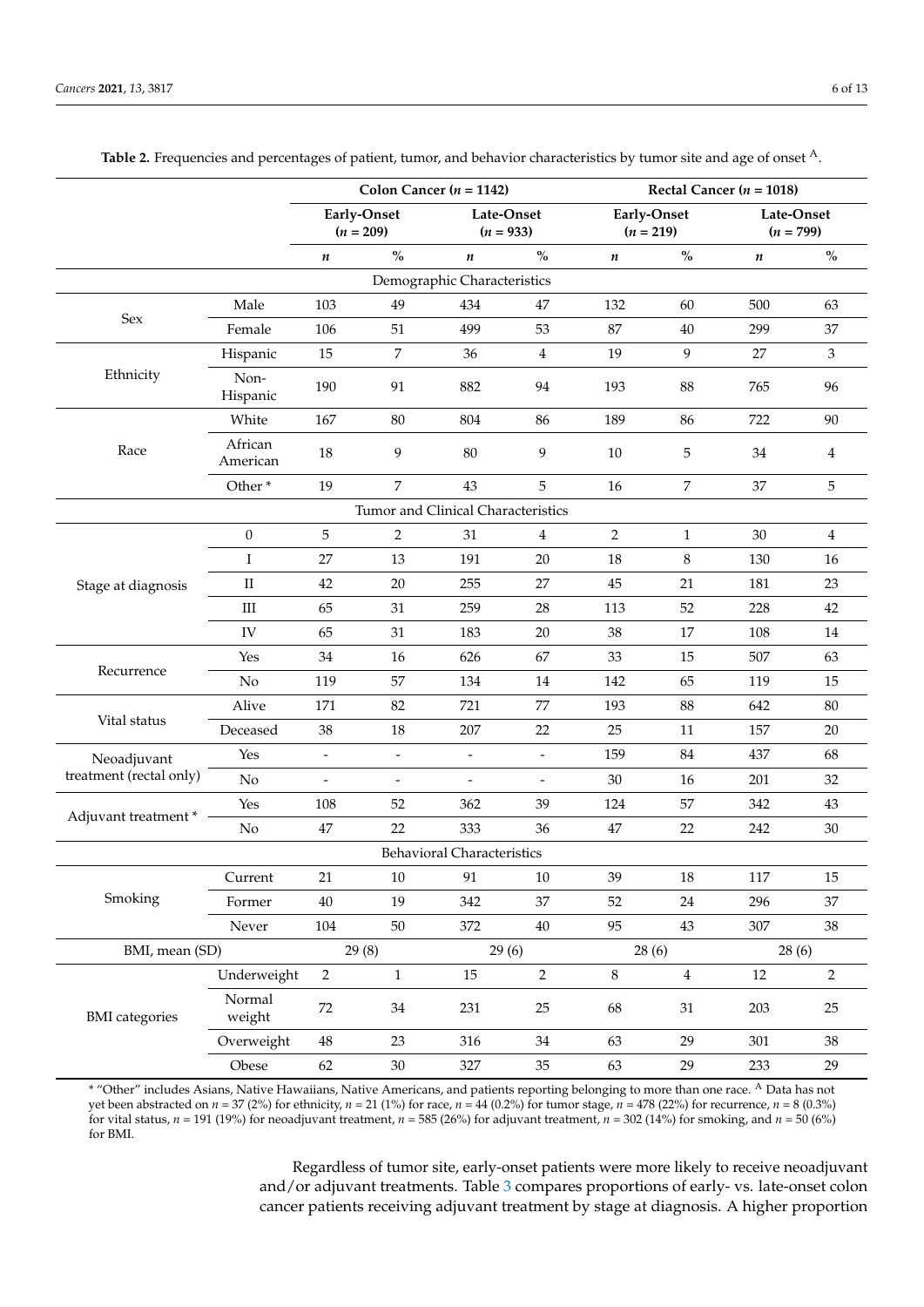<span id="page-5-0"></span>

|                         |                     | Colon Cancer ( $n = 1142$ )                             |                                    |                                   | Rectal Cancer ( $n = 1018$ )                |                           |                |                  |                                    |
|-------------------------|---------------------|---------------------------------------------------------|------------------------------------|-----------------------------------|---------------------------------------------|---------------------------|----------------|------------------|------------------------------------|
|                         |                     | Early-Onset<br>Late-Onset<br>$(n = 209)$<br>$(n = 933)$ |                                    | $(n = 219)$                       | Early-Onset                                 | Late-Onset<br>$(n = 799)$ |                |                  |                                    |
|                         |                     | n                                                       | $\frac{1}{2}$                      | $\boldsymbol{n}$                  | $\mathbf{O}_{\!\!/\!\mathbf{O}}^{\!\prime}$ | n                         | $\%$           | $\boldsymbol{n}$ | $\mathbf{O}_{\mathbf{O}}^{\prime}$ |
|                         |                     |                                                         |                                    | Demographic Characteristics       |                                             |                           |                |                  |                                    |
|                         | Male                | 103                                                     | 49                                 | 434                               | 47                                          | 132                       | 60             | 500              | 63                                 |
| Sex                     | Female              | 106                                                     | 51                                 | 499                               | 53                                          | 87                        | $40\,$         | 299              | 37                                 |
|                         | Hispanic            | 15                                                      | $\overline{7}$                     | 36                                | $\overline{4}$                              | 19                        | 9              | 27               | 3                                  |
| Ethnicity               | Non-<br>Hispanic    | 190                                                     | 91                                 | 882                               | 94                                          | 193                       | 88             | 765              | 96                                 |
|                         | White               | 167                                                     | 80                                 | 804                               | 86                                          | 189                       | 86             | 722              | 90                                 |
| Race                    | African<br>American | $18\,$                                                  | 9                                  | 80                                | 9                                           | $10\,$                    | 5              | 34               | $\overline{4}$                     |
|                         | Other <sup>*</sup>  | 19                                                      | $\overline{7}$                     | 43                                | 5                                           | 16                        | $\overline{7}$ | 37               | 5                                  |
|                         |                     |                                                         | Tumor and Clinical Characteristics |                                   |                                             |                           |                |                  |                                    |
|                         | $\boldsymbol{0}$    | 5                                                       | $\overline{2}$                     | 31                                | $\overline{4}$                              | $\overline{2}$            | $\mathbf{1}$   | 30               | $\overline{4}$                     |
|                         | $\bf I$             | 27                                                      | 13                                 | 191                               | 20                                          | 18                        | 8              | 130              | 16                                 |
| Stage at diagnosis      | $\rm II$            | 42                                                      | 20                                 | 255                               | 27                                          | 45                        | 21             | 181              | 23                                 |
|                         | Ш                   | 65                                                      | 31                                 | 259                               | 28                                          | 113                       | 52             | 228              | $42\,$                             |
|                         | IV                  | 65                                                      | 31                                 | 183                               | 20                                          | 38                        | 17             | 108              | $14\,$                             |
|                         | Yes                 | $34\,$                                                  | 16                                 | 626                               | 67                                          | 33                        | 15             | 507              | 63                                 |
| Recurrence              | No                  | 119                                                     | 57                                 | 134                               | 14                                          | 142                       | 65             | 119              | 15                                 |
|                         | Alive               | 171                                                     | 82                                 | 721                               | 77                                          | 193                       | 88             | 642              | $80\,$                             |
| Vital status            | Deceased            | 38                                                      | 18                                 | 207                               | 22                                          | 25                        | $11\,$         | 157              | $20\,$                             |
| Neoadjuvant             | Yes                 | $\blacksquare$                                          | $\overline{\phantom{a}}$           | $\overline{\phantom{a}}$          | $\equiv$                                    | 159                       | $84\,$         | 437              | 68                                 |
| treatment (rectal only) | No                  | $\qquad \qquad \blacksquare$                            | $\overline{\phantom{a}}$           | $\overline{\phantom{a}}$          | $\overline{\phantom{a}}$                    | 30                        | 16             | 201              | 32                                 |
| Adjuvant treatment *    | Yes                 | 108                                                     | 52                                 | 362                               | 39                                          | 124                       | 57             | 342              | $43\,$                             |
|                         | No                  | 47                                                      | 22                                 | 333                               | 36                                          | 47                        | 22             | 242              | $30\,$                             |
|                         |                     |                                                         |                                    | <b>Behavioral Characteristics</b> |                                             |                           |                |                  |                                    |
|                         | Current             | 21                                                      | $10\,$                             | 91                                | $10\,$                                      | 39                        | 18             | 117              | 15                                 |
| Smoking                 | Former              | 40                                                      | 19                                 | 342                               | 37                                          | 52                        | 24             | 296              | 37                                 |
|                         | Never               | 104                                                     | 50                                 | 372                               | $40\,$                                      | 95                        | 43             | 307              | $38\,$                             |
| BMI, mean (SD)          |                     |                                                         | 29(8)                              |                                   | 29(6)                                       | 28(6)                     |                | 28(6)            |                                    |
|                         | Underweight         | $\overline{2}$                                          | $\mathbf{1}$                       | 15                                | 2                                           | $\,8\,$                   | $\overline{4}$ | 12               | $\mathbf{2}$                       |
| <b>BMI</b> categories   | Normal<br>weight    | $72\,$                                                  | $34\,$                             | 231                               | 25                                          | 68                        | 31             | 203              | $25\,$                             |
|                         | Overweight          | 48                                                      | 23                                 | 316                               | 34                                          | 63                        | 29             | 301              | 38                                 |
|                         | Obese               | 62                                                      | $30\,$                             | 327                               | 35                                          | 63                        | 29             | 233              | 29                                 |
|                         |                     |                                                         |                                    |                                   |                                             |                           |                |                  |                                    |

Table 2. Frequencies and percentages of patient, tumor, and behavior characteristics by tumor site and age of onset <sup>A</sup>.

\* "Other" includes Asians, Native Hawaiians, Native Americans, and patients reporting belonging to more than one race. <sup>A</sup> Data has not yet been abstracted on *n* = 37 (2%) for ethnicity, *n* = 21 (1%) for race, *n* = 44 (0.2%) for tumor stage, *n* = 478 (22%) for recurrence, *n* = 8 (0.3%) for vital status, *n* = 191 (19%) for neoadjuvant treatment, *n* = 585 (26%) for adjuvant treatment, *n* = 302 (14%) for smoking, and *n* = 50 (6%) for BMI.

> Regardless of tumor site, early-onset patients were more likely to receive neoadjuvant and/or adjuvant treatments. Table [3](#page-6-0) compares proportions of early- vs. late-onset colon cancer patients receiving adjuvant treatment by stage at diagnosis. A higher proportion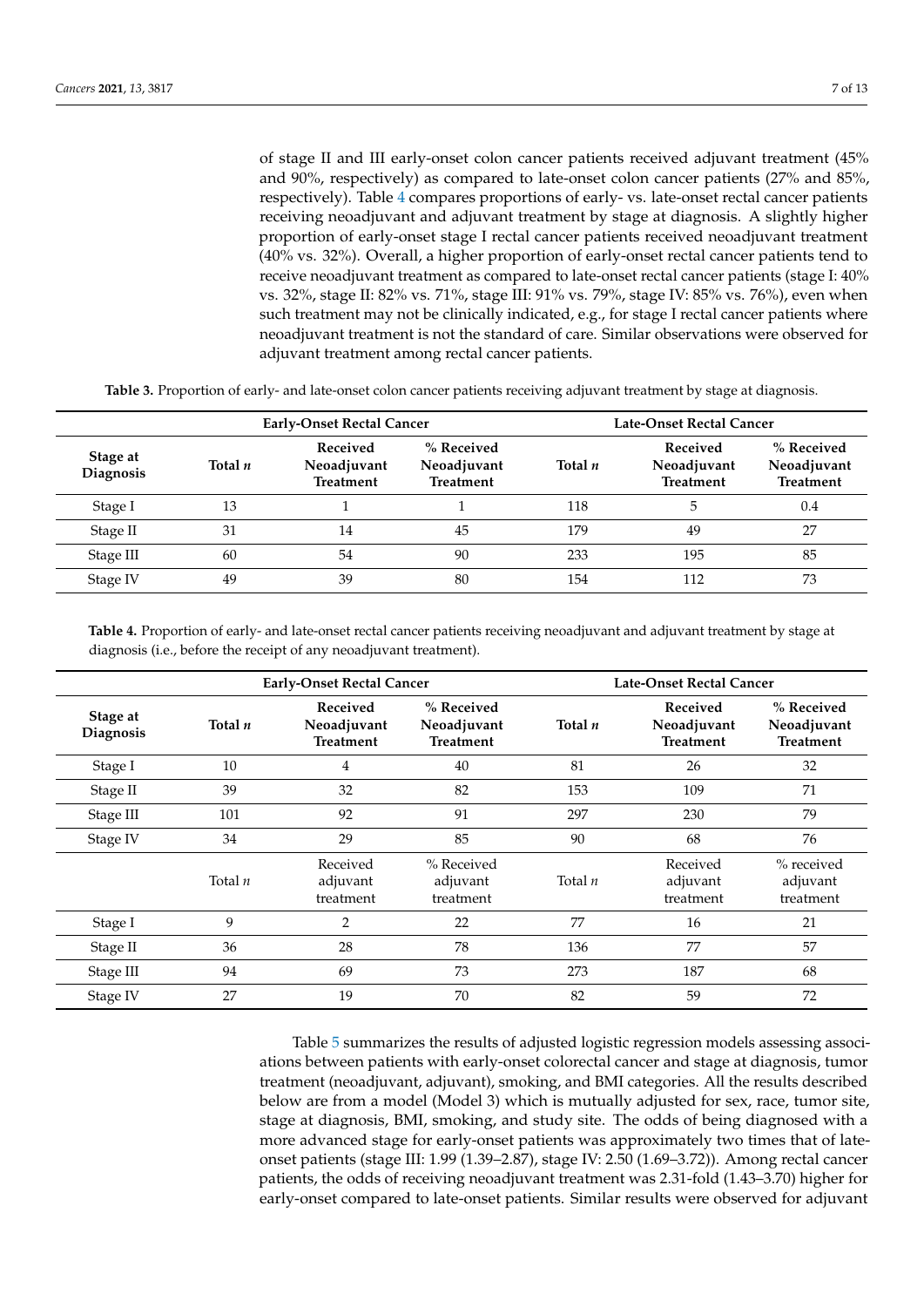of stage II and III early-onset colon cancer patients received adjuvant treatment (45% and 90%, respectively) as compared to late-onset colon cancer patients (27% and 85%, respectively). Table [4](#page-6-1) compares proportions of early- vs. late-onset rectal cancer patients receiving neoadjuvant and adjuvant treatment by stage at diagnosis. A slightly higher proportion of early-onset stage I rectal cancer patients received neoadjuvant treatment (40% vs. 32%). Overall, a higher proportion of early-onset rectal cancer patients tend to receive neoadjuvant treatment as compared to late-onset rectal cancer patients (stage I: 40% vs. 32%, stage II: 82% vs. 71%, stage III: 91% vs. 79%, stage IV: 85% vs. 76%), even when such treatment may not be clinically indicated, e.g., for stage I rectal cancer patients where neoadjuvant treatment is not the standard of care. Similar observations were observed for adjuvant treatment among rectal cancer patients.

**Table 3.** Proportion of early- and late-onset colon cancer patients receiving adjuvant treatment by stage at diagnosis.

<span id="page-6-0"></span>

|                              |         | <b>Early-Onset Rectal Cancer</b>            | Late-Onset Rectal Cancer                      |         |                                             |                                               |
|------------------------------|---------|---------------------------------------------|-----------------------------------------------|---------|---------------------------------------------|-----------------------------------------------|
| Stage at<br><b>Diagnosis</b> | Total n | Received<br>Neoadjuvant<br><b>Treatment</b> | % Received<br>Neoadjuvant<br><b>Treatment</b> | Total n | Received<br>Neoadjuvant<br><b>Treatment</b> | % Received<br>Neoadjuvant<br><b>Treatment</b> |
| Stage I                      | 13      |                                             |                                               | 118     | 5                                           | 0.4                                           |
| Stage II                     | 31      | 14                                          | 45                                            | 179     | 49                                          | 27                                            |
| Stage III                    | 60      | 54                                          | 90                                            | 233     | 195                                         | 85                                            |
| Stage IV                     | 49      | 39                                          | 80                                            | 154     | 112                                         | 73                                            |

<span id="page-6-1"></span>**Table 4.** Proportion of early- and late-onset rectal cancer patients receiving neoadjuvant and adjuvant treatment by stage at diagnosis (i.e., before the receipt of any neoadjuvant treatment).

|                       |           | <b>Early-Onset Rectal Cancer</b>            | Late-Onset Rectal Cancer                      |           |                                             |                                               |  |
|-----------------------|-----------|---------------------------------------------|-----------------------------------------------|-----------|---------------------------------------------|-----------------------------------------------|--|
| Stage at<br>Diagnosis | Total n   | Received<br>Neoadjuvant<br><b>Treatment</b> | % Received<br>Neoadjuvant<br><b>Treatment</b> | Total n   | Received<br>Neoadjuvant<br><b>Treatment</b> | % Received<br>Neoadjuvant<br><b>Treatment</b> |  |
| Stage I               | 10        | 4                                           | 40                                            | 81        | 26                                          | 32                                            |  |
| Stage II              | 39        | 32                                          | 82                                            | 153       | 109                                         | 71                                            |  |
| Stage III             | 101       | 92                                          | 91                                            | 297       | 230                                         | 79                                            |  |
| Stage IV              | 34        | 29                                          | 85                                            | 90        | 68                                          | 76                                            |  |
|                       | Total $n$ | Received<br>adjuvant<br>treatment           | % Received<br>adjuvant<br>treatment           | Total $n$ | Received<br>adjuvant<br>treatment           | % received<br>adjuvant<br>treatment           |  |
| Stage I               | 9         | $\overline{2}$                              | 22                                            | 77        | 16                                          | 21                                            |  |
| Stage II              | 36        | 28                                          | 78                                            | 136       | 77                                          | 57                                            |  |
| Stage III             | 94        | 69                                          | 73                                            | 273       | 187                                         | 68                                            |  |
| Stage IV              | 27        | 19                                          | 70                                            | 82        | 59                                          | 72                                            |  |

Table [5](#page-7-0) summarizes the results of adjusted logistic regression models assessing associations between patients with early-onset colorectal cancer and stage at diagnosis, tumor treatment (neoadjuvant, adjuvant), smoking, and BMI categories. All the results described below are from a model (Model 3) which is mutually adjusted for sex, race, tumor site, stage at diagnosis, BMI, smoking, and study site. The odds of being diagnosed with a more advanced stage for early-onset patients was approximately two times that of lateonset patients (stage III: 1.99 (1.39–2.87), stage IV: 2.50 (1.69–3.72)). Among rectal cancer patients, the odds of receiving neoadjuvant treatment was 2.31-fold (1.43–3.70) higher for early-onset compared to late-onset patients. Similar results were observed for adjuvant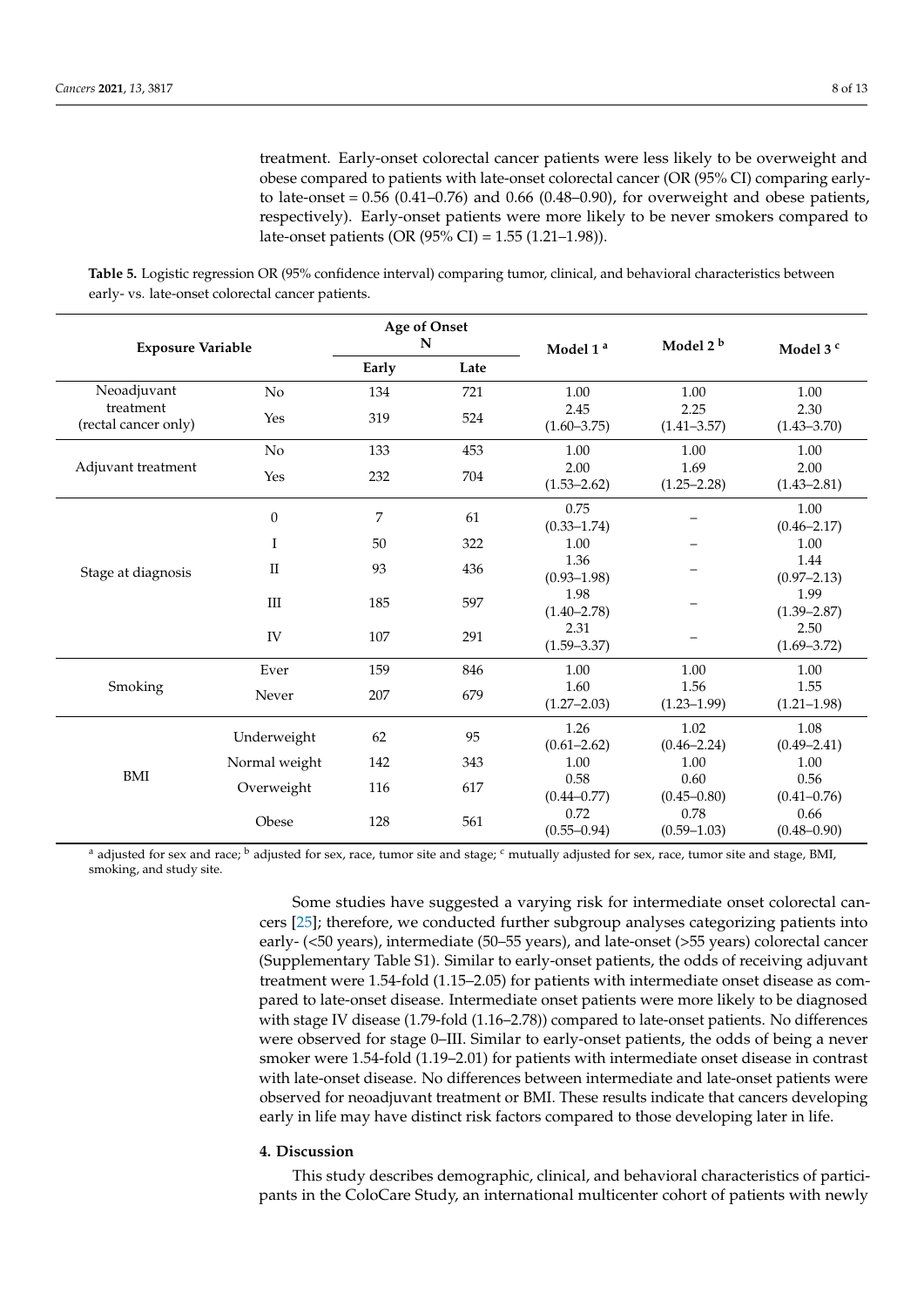treatment. Early-onset colorectal cancer patients were less likely to be overweight and obese compared to patients with late-onset colorectal cancer (OR (95% CI) comparing earlyto late-onset =  $0.56$  ( $0.41$ – $0.76$ ) and  $0.66$  ( $0.48$ – $0.90$ ), for overweight and obese patients, respectively). Early-onset patients were more likely to be never smokers compared to late-onset patients (OR (95% CI) = 1.55 (1.21–1.98)).

<span id="page-7-0"></span>**Table 5.** Logistic regression OR (95% confidence interval) comparing tumor, clinical, and behavioral characteristics between early- vs. late-onset colorectal cancer patients.

| <b>Exposure Variable</b>          |                  | <b>Age of Onset</b><br>N |     | Model 1 <sup>a</sup>    | Model 2 <sup>b</sup>    | Model 3 c               |  |
|-----------------------------------|------------------|--------------------------|-----|-------------------------|-------------------------|-------------------------|--|
|                                   |                  | Early<br>Late            |     |                         |                         |                         |  |
| Neoadjuvant                       | No               | 134                      | 721 | 1.00                    | 1.00                    | 1.00                    |  |
| treatment<br>(rectal cancer only) | Yes              | 319                      | 524 | 2.45<br>$(1.60 - 3.75)$ | 2.25<br>$(1.41 - 3.57)$ | 2.30<br>$(1.43 - 3.70)$ |  |
|                                   | No               | 133                      | 453 | 1.00                    | 1.00                    | 1.00                    |  |
| Adjuvant treatment                | Yes              | 232                      | 704 | 2.00<br>$(1.53 - 2.62)$ | 1.69<br>$(1.25 - 2.28)$ | 2.00<br>$(1.43 - 2.81)$ |  |
|                                   | $\boldsymbol{0}$ | 7                        | 61  | 0.75<br>$(0.33 - 1.74)$ |                         | 1.00<br>$(0.46 - 2.17)$ |  |
|                                   | $\bf{I}$         | 50                       | 322 | 1.00                    |                         | 1.00                    |  |
| Stage at diagnosis                | $\rm II$         | 93                       | 436 | 1.36<br>$(0.93 - 1.98)$ |                         | 1.44<br>$(0.97 - 2.13)$ |  |
|                                   | $\rm III$        | 185                      | 597 | 1.98<br>$(1.40 - 2.78)$ |                         | 1.99<br>$(1.39 - 2.87)$ |  |
|                                   | IV               | 107                      | 291 | 2.31<br>$(1.59 - 3.37)$ |                         | 2.50<br>$(1.69 - 3.72)$ |  |
|                                   | Ever             | 159                      | 846 | 1.00                    | 1.00                    | 1.00                    |  |
| Smoking                           | Never            | 207                      | 679 | 1.60<br>$(1.27 - 2.03)$ | 1.56<br>$(1.23 - 1.99)$ | 1.55<br>$(1.21 - 1.98)$ |  |
|                                   | Underweight      | 62                       | 95  | 1.26<br>$(0.61 - 2.62)$ | 1.02<br>$(0.46 - 2.24)$ | 1.08<br>$(0.49 - 2.41)$ |  |
|                                   | Normal weight    | 142                      | 343 | 1.00                    | 1.00                    | 1.00                    |  |
| BMI                               | Overweight       | 116                      | 617 | 0.58<br>$(0.44 - 0.77)$ | 0.60<br>$(0.45 - 0.80)$ | 0.56<br>$(0.41 - 0.76)$ |  |
|                                   | Obese            | 128                      | 561 | 0.72<br>$(0.55 - 0.94)$ | 0.78<br>$(0.59 - 1.03)$ | 0.66<br>$(0.48 - 0.90)$ |  |

<sup>a</sup> adjusted for sex and race; <sup>b</sup> adjusted for sex, race, tumor site and stage; <sup>c</sup> mutually adjusted for sex, race, tumor site and stage, BMI, smoking, and study site.

> Some studies have suggested a varying risk for intermediate onset colorectal cancers [\[25\]](#page-12-1); therefore, we conducted further subgroup analyses categorizing patients into early- (<50 years), intermediate (50–55 years), and late-onset (>55 years) colorectal cancer (Supplementary Table S1). Similar to early-onset patients, the odds of receiving adjuvant treatment were 1.54-fold (1.15–2.05) for patients with intermediate onset disease as compared to late-onset disease. Intermediate onset patients were more likely to be diagnosed with stage IV disease (1.79-fold (1.16–2.78)) compared to late-onset patients. No differences were observed for stage 0–III. Similar to early-onset patients, the odds of being a never smoker were 1.54-fold (1.19–2.01) for patients with intermediate onset disease in contrast with late-onset disease. No differences between intermediate and late-onset patients were observed for neoadjuvant treatment or BMI. These results indicate that cancers developing early in life may have distinct risk factors compared to those developing later in life.

# **4. Discussion**

This study describes demographic, clinical, and behavioral characteristics of participants in the ColoCare Study, an international multicenter cohort of patients with newly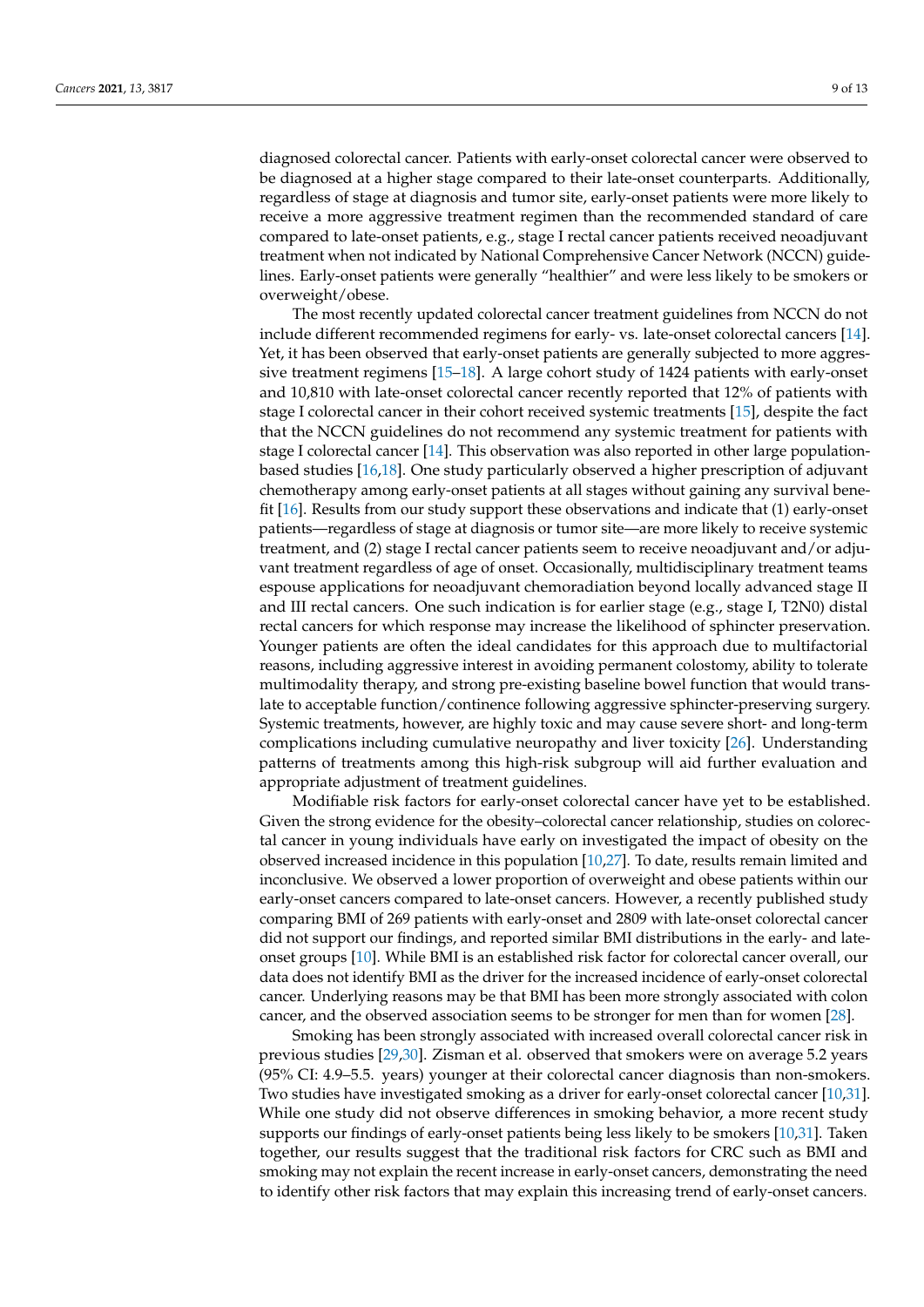diagnosed colorectal cancer. Patients with early-onset colorectal cancer were observed to be diagnosed at a higher stage compared to their late-onset counterparts. Additionally, regardless of stage at diagnosis and tumor site, early-onset patients were more likely to receive a more aggressive treatment regimen than the recommended standard of care compared to late-onset patients, e.g., stage I rectal cancer patients received neoadjuvant treatment when not indicated by National Comprehensive Cancer Network (NCCN) guidelines. Early-onset patients were generally "healthier" and were less likely to be smokers or overweight/obese.

The most recently updated colorectal cancer treatment guidelines from NCCN do not include different recommended regimens for early- vs. late-onset colorectal cancers [\[14\]](#page-11-10). Yet, it has been observed that early-onset patients are generally subjected to more aggressive treatment regimens [\[15–](#page-11-11)[18\]](#page-11-12). A large cohort study of 1424 patients with early-onset and 10,810 with late-onset colorectal cancer recently reported that 12% of patients with stage I colorectal cancer in their cohort received systemic treatments [\[15\]](#page-11-11), despite the fact that the NCCN guidelines do not recommend any systemic treatment for patients with stage I colorectal cancer [\[14\]](#page-11-10). This observation was also reported in other large populationbased studies [\[16](#page-11-15)[,18\]](#page-11-12). One study particularly observed a higher prescription of adjuvant chemotherapy among early-onset patients at all stages without gaining any survival benefit [\[16\]](#page-11-15). Results from our study support these observations and indicate that (1) early-onset patients—regardless of stage at diagnosis or tumor site—are more likely to receive systemic treatment, and (2) stage I rectal cancer patients seem to receive neoadjuvant and/or adjuvant treatment regardless of age of onset. Occasionally, multidisciplinary treatment teams espouse applications for neoadjuvant chemoradiation beyond locally advanced stage II and III rectal cancers. One such indication is for earlier stage (e.g., stage I, T2N0) distal rectal cancers for which response may increase the likelihood of sphincter preservation. Younger patients are often the ideal candidates for this approach due to multifactorial reasons, including aggressive interest in avoiding permanent colostomy, ability to tolerate multimodality therapy, and strong pre-existing baseline bowel function that would translate to acceptable function/continence following aggressive sphincter-preserving surgery. Systemic treatments, however, are highly toxic and may cause severe short- and long-term complications including cumulative neuropathy and liver toxicity [\[26\]](#page-12-2). Understanding patterns of treatments among this high-risk subgroup will aid further evaluation and appropriate adjustment of treatment guidelines.

Modifiable risk factors for early-onset colorectal cancer have yet to be established. Given the strong evidence for the obesity–colorectal cancer relationship, studies on colorectal cancer in young individuals have early on investigated the impact of obesity on the observed increased incidence in this population [\[10,](#page-11-16)[27\]](#page-12-3). To date, results remain limited and inconclusive. We observed a lower proportion of overweight and obese patients within our early-onset cancers compared to late-onset cancers. However, a recently published study comparing BMI of 269 patients with early-onset and 2809 with late-onset colorectal cancer did not support our findings, and reported similar BMI distributions in the early- and lateonset groups [\[10\]](#page-11-16). While BMI is an established risk factor for colorectal cancer overall, our data does not identify BMI as the driver for the increased incidence of early-onset colorectal cancer. Underlying reasons may be that BMI has been more strongly associated with colon cancer, and the observed association seems to be stronger for men than for women [\[28\]](#page-12-4).

Smoking has been strongly associated with increased overall colorectal cancer risk in previous studies [\[29,](#page-12-5)[30\]](#page-12-6). Zisman et al. observed that smokers were on average 5.2 years (95% CI: 4.9–5.5. years) younger at their colorectal cancer diagnosis than non-smokers. Two studies have investigated smoking as a driver for early-onset colorectal cancer [\[10](#page-11-16)[,31\]](#page-12-7). While one study did not observe differences in smoking behavior, a more recent study supports our findings of early-onset patients being less likely to be smokers [\[10](#page-11-16)[,31\]](#page-12-7). Taken together, our results suggest that the traditional risk factors for CRC such as BMI and smoking may not explain the recent increase in early-onset cancers, demonstrating the need to identify other risk factors that may explain this increasing trend of early-onset cancers.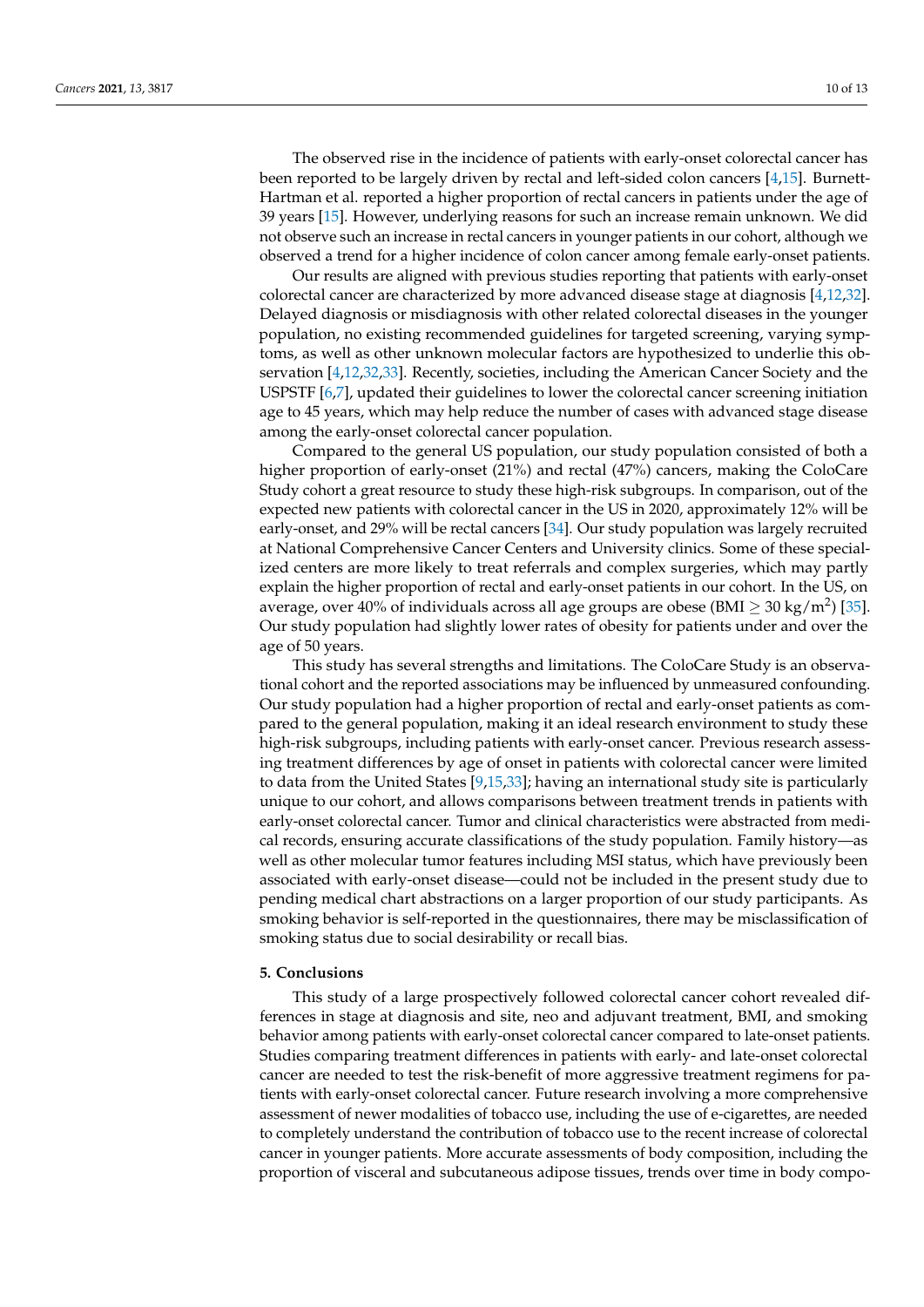The observed rise in the incidence of patients with early-onset colorectal cancer has been reported to be largely driven by rectal and left-sided colon cancers [\[4,](#page-11-2)[15\]](#page-11-11). Burnett-Hartman et al. reported a higher proportion of rectal cancers in patients under the age of 39 years [\[15\]](#page-11-11). However, underlying reasons for such an increase remain unknown. We did not observe such an increase in rectal cancers in younger patients in our cohort, although we observed a trend for a higher incidence of colon cancer among female early-onset patients.

Our results are aligned with previous studies reporting that patients with early-onset colorectal cancer are characterized by more advanced disease stage at diagnosis [\[4](#page-11-2)[,12](#page-11-8)[,32\]](#page-12-8). Delayed diagnosis or misdiagnosis with other related colorectal diseases in the younger population, no existing recommended guidelines for targeted screening, varying symptoms, as well as other unknown molecular factors are hypothesized to underlie this observation [\[4](#page-11-2)[,12](#page-11-8)[,32,](#page-12-8)[33\]](#page-12-9). Recently, societies, including the American Cancer Society and the USPSTF [\[6](#page-11-4)[,7\]](#page-11-5), updated their guidelines to lower the colorectal cancer screening initiation age to 45 years, which may help reduce the number of cases with advanced stage disease among the early-onset colorectal cancer population.

Compared to the general US population, our study population consisted of both a higher proportion of early-onset (21%) and rectal (47%) cancers, making the ColoCare Study cohort a great resource to study these high-risk subgroups. In comparison, out of the expected new patients with colorectal cancer in the US in 2020, approximately 12% will be early-onset, and 29% will be rectal cancers [\[34\]](#page-12-10). Our study population was largely recruited at National Comprehensive Cancer Centers and University clinics. Some of these specialized centers are more likely to treat referrals and complex surgeries, which may partly explain the higher proportion of rectal and early-onset patients in our cohort. In the US, on average, over 40% of individuals across all age groups are obese (BMI  $\geq$  30 kg/m<sup>2</sup>) [\[35\]](#page-12-11). Our study population had slightly lower rates of obesity for patients under and over the age of 50 years.

This study has several strengths and limitations. The ColoCare Study is an observational cohort and the reported associations may be influenced by unmeasured confounding. Our study population had a higher proportion of rectal and early-onset patients as compared to the general population, making it an ideal research environment to study these high-risk subgroups, including patients with early-onset cancer. Previous research assessing treatment differences by age of onset in patients with colorectal cancer were limited to data from the United States [\[9,](#page-11-17)[15,](#page-11-11)[33\]](#page-12-9); having an international study site is particularly unique to our cohort, and allows comparisons between treatment trends in patients with early-onset colorectal cancer. Tumor and clinical characteristics were abstracted from medical records, ensuring accurate classifications of the study population. Family history—as well as other molecular tumor features including MSI status, which have previously been associated with early-onset disease—could not be included in the present study due to pending medical chart abstractions on a larger proportion of our study participants. As smoking behavior is self-reported in the questionnaires, there may be misclassification of smoking status due to social desirability or recall bias.

### **5. Conclusions**

This study of a large prospectively followed colorectal cancer cohort revealed differences in stage at diagnosis and site, neo and adjuvant treatment, BMI, and smoking behavior among patients with early-onset colorectal cancer compared to late-onset patients. Studies comparing treatment differences in patients with early- and late-onset colorectal cancer are needed to test the risk-benefit of more aggressive treatment regimens for patients with early-onset colorectal cancer. Future research involving a more comprehensive assessment of newer modalities of tobacco use, including the use of e-cigarettes, are needed to completely understand the contribution of tobacco use to the recent increase of colorectal cancer in younger patients. More accurate assessments of body composition, including the proportion of visceral and subcutaneous adipose tissues, trends over time in body compo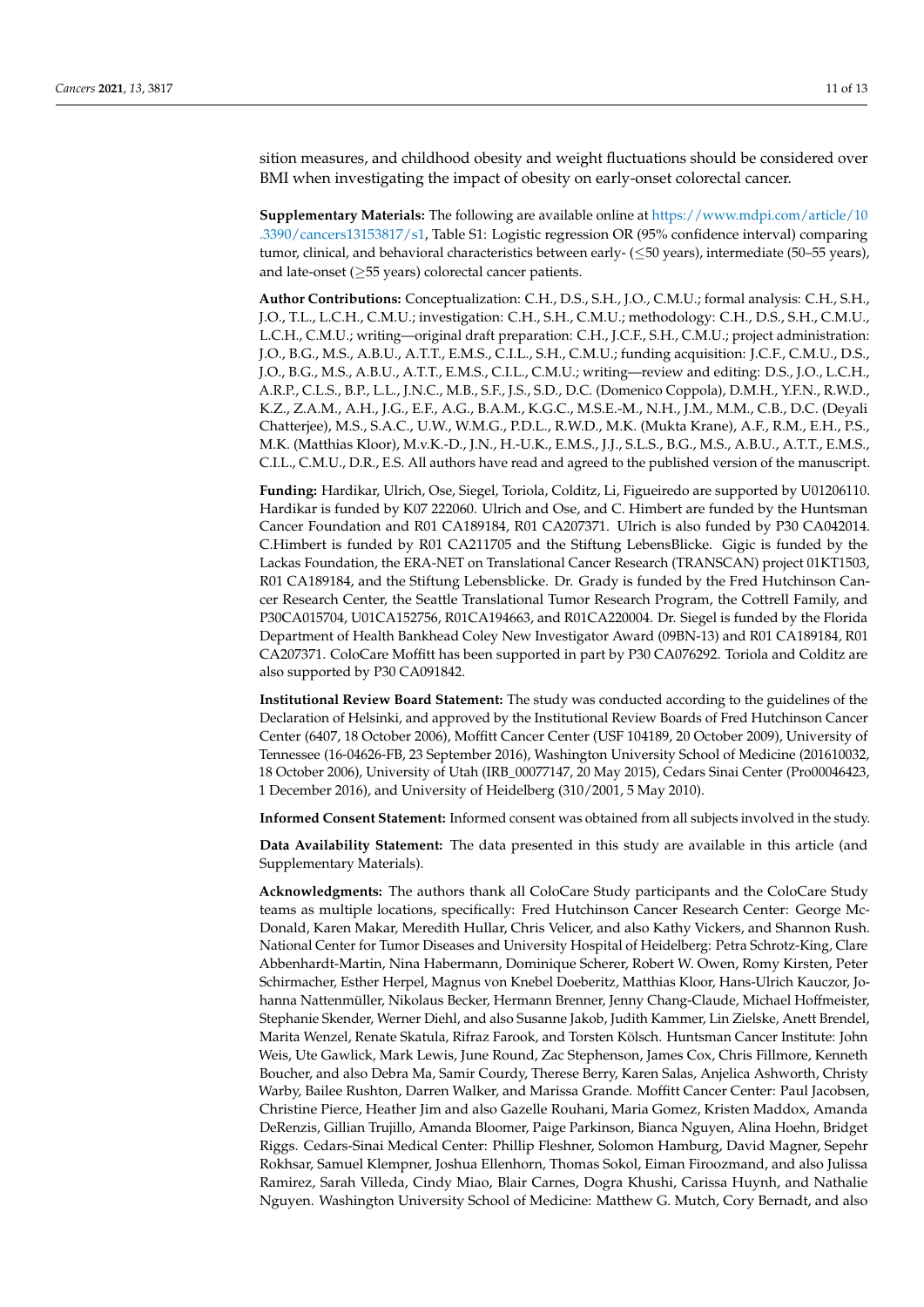sition measures, and childhood obesity and weight fluctuations should be considered over BMI when investigating the impact of obesity on early-onset colorectal cancer.

**Supplementary Materials:** The following are available online at [https://www.mdpi.com/article/10](https://www.mdpi.com/article/10.3390/cancers13153817/s1) [.3390/cancers13153817/s1,](https://www.mdpi.com/article/10.3390/cancers13153817/s1) Table S1: Logistic regression OR (95% confidence interval) comparing tumor, clinical, and behavioral characteristics between early- (≤50 years), intermediate (50–55 years), and late-onset ( $\geq$ 55 years) colorectal cancer patients.

**Author Contributions:** Conceptualization: C.H., D.S., S.H., J.O., C.M.U.; formal analysis: C.H., S.H., J.O., T.L., L.C.H., C.M.U.; investigation: C.H., S.H., C.M.U.; methodology: C.H., D.S., S.H., C.M.U., L.C.H., C.M.U.; writing—original draft preparation: C.H., J.C.F., S.H., C.M.U.; project administration: J.O., B.G., M.S., A.B.U., A.T.T., E.M.S., C.I.L., S.H., C.M.U.; funding acquisition: J.C.F., C.M.U., D.S., J.O., B.G., M.S., A.B.U., A.T.T., E.M.S., C.I.L., C.M.U.; writing—review and editing: D.S., J.O., L.C.H., A.R.P., C.L.S., B.P., L.L., J.N.C., M.B., S.F., J.S., S.D., D.C. (Domenico Coppola), D.M.H., Y.F.N., R.W.D., K.Z., Z.A.M., A.H., J.G., E.F., A.G., B.A.M., K.G.C., M.S.E.-M., N.H., J.M., M.M., C.B., D.C. (Deyali Chatterjee), M.S., S.A.C., U.W., W.M.G., P.D.L., R.W.D., M.K. (Mukta Krane), A.F., R.M., E.H., P.S., M.K. (Matthias Kloor), M.v.K.-D., J.N., H.-U.K., E.M.S., J.J., S.L.S., B.G., M.S., A.B.U., A.T.T., E.M.S., C.I.L., C.M.U., D.R., E.S. All authors have read and agreed to the published version of the manuscript.

**Funding:** Hardikar, Ulrich, Ose, Siegel, Toriola, Colditz, Li, Figueiredo are supported by U01206110. Hardikar is funded by K07 222060. Ulrich and Ose, and C. Himbert are funded by the Huntsman Cancer Foundation and R01 CA189184, R01 CA207371. Ulrich is also funded by P30 CA042014. C.Himbert is funded by R01 CA211705 and the Stiftung LebensBlicke. Gigic is funded by the Lackas Foundation, the ERA-NET on Translational Cancer Research (TRANSCAN) project 01KT1503, R01 CA189184, and the Stiftung Lebensblicke. Dr. Grady is funded by the Fred Hutchinson Cancer Research Center, the Seattle Translational Tumor Research Program, the Cottrell Family, and P30CA015704, U01CA152756, R01CA194663, and R01CA220004. Dr. Siegel is funded by the Florida Department of Health Bankhead Coley New Investigator Award (09BN-13) and R01 CA189184, R01 CA207371. ColoCare Moffitt has been supported in part by P30 CA076292. Toriola and Colditz are also supported by P30 CA091842.

**Institutional Review Board Statement:** The study was conducted according to the guidelines of the Declaration of Helsinki, and approved by the Institutional Review Boards of Fred Hutchinson Cancer Center (6407, 18 October 2006), Moffitt Cancer Center (USF 104189, 20 October 2009), University of Tennessee (16-04626-FB, 23 September 2016), Washington University School of Medicine (201610032, 18 October 2006), University of Utah (IRB\_00077147, 20 May 2015), Cedars Sinai Center (Pro00046423, 1 December 2016), and University of Heidelberg (310/2001, 5 May 2010).

**Informed Consent Statement:** Informed consent was obtained from all subjects involved in the study.

**Data Availability Statement:** The data presented in this study are available in this article (and Supplementary Materials).

**Acknowledgments:** The authors thank all ColoCare Study participants and the ColoCare Study teams as multiple locations, specifically: Fred Hutchinson Cancer Research Center: George Mc-Donald, Karen Makar, Meredith Hullar, Chris Velicer, and also Kathy Vickers, and Shannon Rush. National Center for Tumor Diseases and University Hospital of Heidelberg: Petra Schrotz-King, Clare Abbenhardt-Martin, Nina Habermann, Dominique Scherer, Robert W. Owen, Romy Kirsten, Peter Schirmacher, Esther Herpel, Magnus von Knebel Doeberitz, Matthias Kloor, Hans-Ulrich Kauczor, Johanna Nattenmüller, Nikolaus Becker, Hermann Brenner, Jenny Chang-Claude, Michael Hoffmeister, Stephanie Skender, Werner Diehl, and also Susanne Jakob, Judith Kammer, Lin Zielske, Anett Brendel, Marita Wenzel, Renate Skatula, Rifraz Farook, and Torsten Kölsch. Huntsman Cancer Institute: John Weis, Ute Gawlick, Mark Lewis, June Round, Zac Stephenson, James Cox, Chris Fillmore, Kenneth Boucher, and also Debra Ma, Samir Courdy, Therese Berry, Karen Salas, Anjelica Ashworth, Christy Warby, Bailee Rushton, Darren Walker, and Marissa Grande. Moffitt Cancer Center: Paul Jacobsen, Christine Pierce, Heather Jim and also Gazelle Rouhani, Maria Gomez, Kristen Maddox, Amanda DeRenzis, Gillian Trujillo, Amanda Bloomer, Paige Parkinson, Bianca Nguyen, Alina Hoehn, Bridget Riggs. Cedars-Sinai Medical Center: Phillip Fleshner, Solomon Hamburg, David Magner, Sepehr Rokhsar, Samuel Klempner, Joshua Ellenhorn, Thomas Sokol, Eiman Firoozmand, and also Julissa Ramirez, Sarah Villeda, Cindy Miao, Blair Carnes, Dogra Khushi, Carissa Huynh, and Nathalie Nguyen. Washington University School of Medicine: Matthew G. Mutch, Cory Bernadt, and also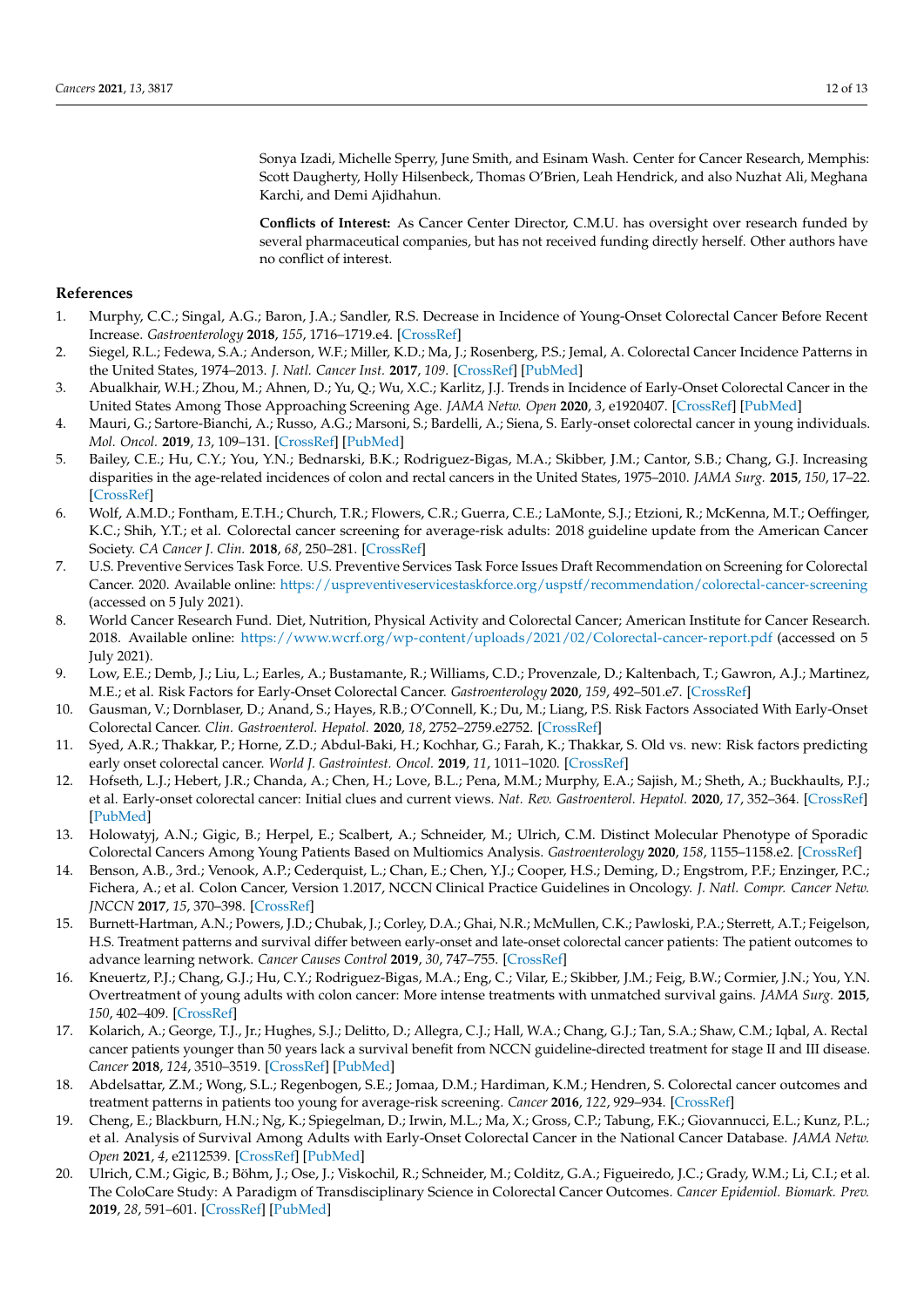Sonya Izadi, Michelle Sperry, June Smith, and Esinam Wash. Center for Cancer Research, Memphis: Scott Daugherty, Holly Hilsenbeck, Thomas O'Brien, Leah Hendrick, and also Nuzhat Ali, Meghana Karchi, and Demi Ajidhahun.

**Conflicts of Interest:** As Cancer Center Director, C.M.U. has oversight over research funded by several pharmaceutical companies, but has not received funding directly herself. Other authors have no conflict of interest.

# **References**

- <span id="page-11-0"></span>1. Murphy, C.C.; Singal, A.G.; Baron, J.A.; Sandler, R.S. Decrease in Incidence of Young-Onset Colorectal Cancer Before Recent Increase. *Gastroenterology* **2018**, *155*, 1716–1719.e4. [\[CrossRef\]](http://doi.org/10.1053/j.gastro.2018.07.045)
- 2. Siegel, R.L.; Fedewa, S.A.; Anderson, W.F.; Miller, K.D.; Ma, J.; Rosenberg, P.S.; Jemal, A. Colorectal Cancer Incidence Patterns in the United States, 1974–2013. *J. Natl. Cancer Inst.* **2017**, *109*. [\[CrossRef\]](http://doi.org/10.1093/jnci/djw322) [\[PubMed\]](http://www.ncbi.nlm.nih.gov/pubmed/28376186)
- <span id="page-11-1"></span>3. Abualkhair, W.H.; Zhou, M.; Ahnen, D.; Yu, Q.; Wu, X.C.; Karlitz, J.J. Trends in Incidence of Early-Onset Colorectal Cancer in the United States Among Those Approaching Screening Age. *JAMA Netw. Open* **2020**, *3*, e1920407. [\[CrossRef\]](http://doi.org/10.1001/jamanetworkopen.2019.20407) [\[PubMed\]](http://www.ncbi.nlm.nih.gov/pubmed/32003823)
- <span id="page-11-2"></span>4. Mauri, G.; Sartore-Bianchi, A.; Russo, A.G.; Marsoni, S.; Bardelli, A.; Siena, S. Early-onset colorectal cancer in young individuals. *Mol. Oncol.* **2019**, *13*, 109–131. [\[CrossRef\]](http://doi.org/10.1002/1878-0261.12417) [\[PubMed\]](http://www.ncbi.nlm.nih.gov/pubmed/30520562)
- <span id="page-11-3"></span>5. Bailey, C.E.; Hu, C.Y.; You, Y.N.; Bednarski, B.K.; Rodriguez-Bigas, M.A.; Skibber, J.M.; Cantor, S.B.; Chang, G.J. Increasing disparities in the age-related incidences of colon and rectal cancers in the United States, 1975–2010. *JAMA Surg.* **2015**, *150*, 17–22. [\[CrossRef\]](http://doi.org/10.1001/jamasurg.2014.1756)
- <span id="page-11-4"></span>6. Wolf, A.M.D.; Fontham, E.T.H.; Church, T.R.; Flowers, C.R.; Guerra, C.E.; LaMonte, S.J.; Etzioni, R.; McKenna, M.T.; Oeffinger, K.C.; Shih, Y.T.; et al. Colorectal cancer screening for average-risk adults: 2018 guideline update from the American Cancer Society. *CA Cancer J. Clin.* **2018**, *68*, 250–281. [\[CrossRef\]](http://doi.org/10.3322/caac.21457)
- <span id="page-11-5"></span>7. U.S. Preventive Services Task Force. U.S. Preventive Services Task Force Issues Draft Recommendation on Screening for Colorectal Cancer. 2020. Available online: <https://uspreventiveservicestaskforce.org/uspstf/recommendation/colorectal-cancer-screening> (accessed on 5 July 2021).
- <span id="page-11-6"></span>8. World Cancer Research Fund. Diet, Nutrition, Physical Activity and Colorectal Cancer; American Institute for Cancer Research. 2018. Available online: <https://www.wcrf.org/wp-content/uploads/2021/02/Colorectal-cancer-report.pdf> (accessed on 5 July 2021).
- <span id="page-11-17"></span>9. Low, E.E.; Demb, J.; Liu, L.; Earles, A.; Bustamante, R.; Williams, C.D.; Provenzale, D.; Kaltenbach, T.; Gawron, A.J.; Martinez, M.E.; et al. Risk Factors for Early-Onset Colorectal Cancer. *Gastroenterology* **2020**, *159*, 492–501.e7. [\[CrossRef\]](http://doi.org/10.1053/j.gastro.2020.01.004)
- <span id="page-11-16"></span>10. Gausman, V.; Dornblaser, D.; Anand, S.; Hayes, R.B.; O'Connell, K.; Du, M.; Liang, P.S. Risk Factors Associated With Early-Onset Colorectal Cancer. *Clin. Gastroenterol. Hepatol.* **2020**, *18*, 2752–2759.e2752. [\[CrossRef\]](http://doi.org/10.1016/j.cgh.2019.10.009)
- <span id="page-11-7"></span>11. Syed, A.R.; Thakkar, P.; Horne, Z.D.; Abdul-Baki, H.; Kochhar, G.; Farah, K.; Thakkar, S. Old vs. new: Risk factors predicting early onset colorectal cancer. *World J. Gastrointest. Oncol.* **2019**, *11*, 1011–1020. [\[CrossRef\]](http://doi.org/10.4251/wjgo.v11.i11.1011)
- <span id="page-11-8"></span>12. Hofseth, L.J.; Hebert, J.R.; Chanda, A.; Chen, H.; Love, B.L.; Pena, M.M.; Murphy, E.A.; Sajish, M.; Sheth, A.; Buckhaults, P.J.; et al. Early-onset colorectal cancer: Initial clues and current views. *Nat. Rev. Gastroenterol. Hepatol.* **2020**, *17*, 352–364. [\[CrossRef\]](http://doi.org/10.1038/s41575-019-0253-4) [\[PubMed\]](http://www.ncbi.nlm.nih.gov/pubmed/32086499)
- <span id="page-11-9"></span>13. Holowatyj, A.N.; Gigic, B.; Herpel, E.; Scalbert, A.; Schneider, M.; Ulrich, C.M. Distinct Molecular Phenotype of Sporadic Colorectal Cancers Among Young Patients Based on Multiomics Analysis. *Gastroenterology* **2020**, *158*, 1155–1158.e2. [\[CrossRef\]](http://doi.org/10.1053/j.gastro.2019.11.012)
- <span id="page-11-10"></span>14. Benson, A.B., 3rd.; Venook, A.P.; Cederquist, L.; Chan, E.; Chen, Y.J.; Cooper, H.S.; Deming, D.; Engstrom, P.F.; Enzinger, P.C.; Fichera, A.; et al. Colon Cancer, Version 1.2017, NCCN Clinical Practice Guidelines in Oncology. *J. Natl. Compr. Cancer Netw. JNCCN* **2017**, *15*, 370–398. [\[CrossRef\]](http://doi.org/10.6004/jnccn.2017.0036)
- <span id="page-11-11"></span>15. Burnett-Hartman, A.N.; Powers, J.D.; Chubak, J.; Corley, D.A.; Ghai, N.R.; McMullen, C.K.; Pawloski, P.A.; Sterrett, A.T.; Feigelson, H.S. Treatment patterns and survival differ between early-onset and late-onset colorectal cancer patients: The patient outcomes to advance learning network. *Cancer Causes Control* **2019**, *30*, 747–755. [\[CrossRef\]](http://doi.org/10.1007/s10552-019-01181-3)
- <span id="page-11-15"></span>16. Kneuertz, P.J.; Chang, G.J.; Hu, C.Y.; Rodriguez-Bigas, M.A.; Eng, C.; Vilar, E.; Skibber, J.M.; Feig, B.W.; Cormier, J.N.; You, Y.N. Overtreatment of young adults with colon cancer: More intense treatments with unmatched survival gains. *JAMA Surg.* **2015**, *150*, 402–409. [\[CrossRef\]](http://doi.org/10.1001/jamasurg.2014.3572)
- 17. Kolarich, A.; George, T.J., Jr.; Hughes, S.J.; Delitto, D.; Allegra, C.J.; Hall, W.A.; Chang, G.J.; Tan, S.A.; Shaw, C.M.; Iqbal, A. Rectal cancer patients younger than 50 years lack a survival benefit from NCCN guideline-directed treatment for stage II and III disease. *Cancer* **2018**, *124*, 3510–3519. [\[CrossRef\]](http://doi.org/10.1002/cncr.31527) [\[PubMed\]](http://www.ncbi.nlm.nih.gov/pubmed/29984547)
- <span id="page-11-12"></span>18. Abdelsattar, Z.M.; Wong, S.L.; Regenbogen, S.E.; Jomaa, D.M.; Hardiman, K.M.; Hendren, S. Colorectal cancer outcomes and treatment patterns in patients too young for average-risk screening. *Cancer* **2016**, *122*, 929–934. [\[CrossRef\]](http://doi.org/10.1002/cncr.29716)
- <span id="page-11-13"></span>19. Cheng, E.; Blackburn, H.N.; Ng, K.; Spiegelman, D.; Irwin, M.L.; Ma, X.; Gross, C.P.; Tabung, F.K.; Giovannucci, E.L.; Kunz, P.L.; et al. Analysis of Survival Among Adults with Early-Onset Colorectal Cancer in the National Cancer Database. *JAMA Netw. Open* **2021**, *4*, e2112539. [\[CrossRef\]](http://doi.org/10.1001/jamanetworkopen.2021.12539) [\[PubMed\]](http://www.ncbi.nlm.nih.gov/pubmed/34132794)
- <span id="page-11-14"></span>20. Ulrich, C.M.; Gigic, B.; Böhm, J.; Ose, J.; Viskochil, R.; Schneider, M.; Colditz, G.A.; Figueiredo, J.C.; Grady, W.M.; Li, C.I.; et al. The ColoCare Study: A Paradigm of Transdisciplinary Science in Colorectal Cancer Outcomes. *Cancer Epidemiol. Biomark. Prev.* **2019**, *28*, 591–601. [\[CrossRef\]](http://doi.org/10.1158/1055-9965.EPI-18-0773) [\[PubMed\]](http://www.ncbi.nlm.nih.gov/pubmed/30523039)